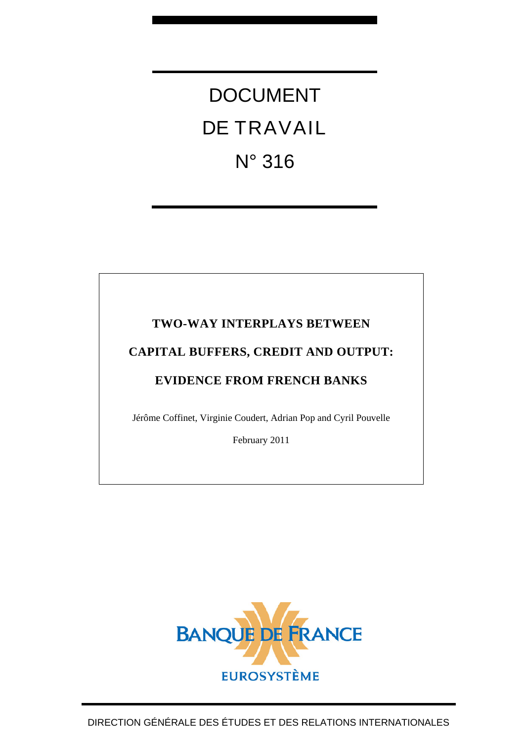# DOCUMENT DE TRAVAIL N° 316

# **TWO-WAY INTERPLAYS BETWEEN**

# **CAPITAL BUFFERS, CREDIT AND OUTPUT:**

# **EVIDENCE FROM FRENCH BANKS**

Jérôme Coffinet, Virginie Coudert, Adrian Pop and Cyril Pouvelle

February 2011

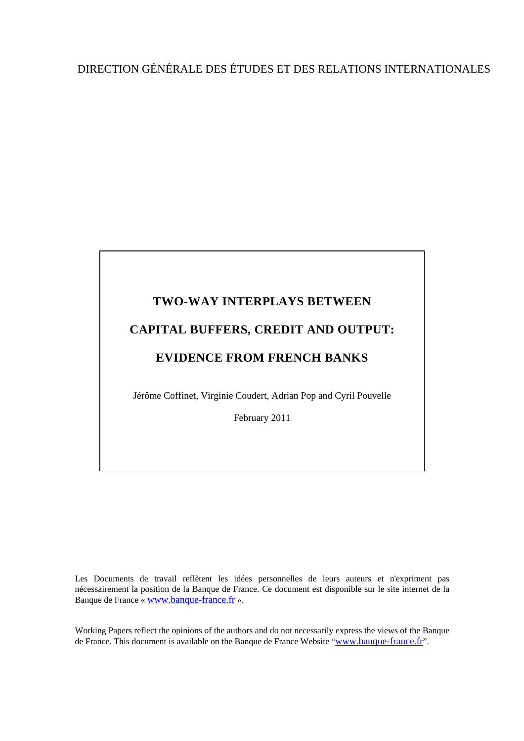# DIRECTION GÉNÉRALE DES ÉTUDES ET DES RELATIONS INTERNATIONALES

# **TWO-WAY INTERPLAYS BETWEEN CAPITAL BUFFERS, CREDIT AND OUTPUT: EVIDENCE FROM FRENCH BANKS**

Jérôme Coffinet, Virginie Coudert, Adrian Pop and Cyril Pouvelle

February 2011

Les Documents de travail reflètent les idées personnelles de leurs auteurs et n'expriment pas nécessairement la position de la Banque de France. Ce document est disponible sur le site internet de la Banque de France « [www.banque-france.fr](http://www.banque-france.fr/) ».

Working Papers reflect the opinions of the authors and do not necessarily express the views of the Banque de France. This document is available on the Banque de France Website "[www.banque-france.fr](http://www.banque-france.fr/)".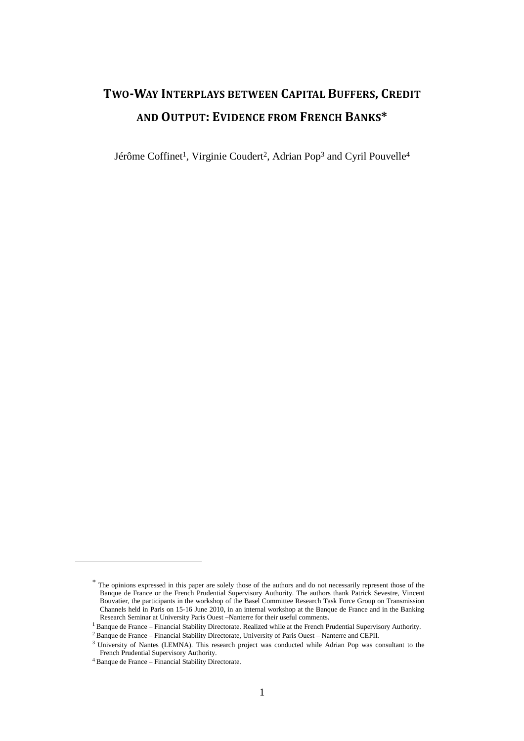# TWO-WAY INTERPLAYS BETWEEN CAPITAL BUFFERS, CREDIT AND OUTPUT: EVIDENCE FROM FRENCH BANKS\*

Jérôme Coffinet<sup>1</sup>, Virginie Coudert<sup>2</sup>, Adrian Pop<sup>3</sup> and Cyril Pouvelle<sup>4</sup>

 $\overline{a}$ 

<sup>\*</sup> The opinions expressed in this paper are solely those of the authors and do not necessarily represent those of the Banque de France or the French Prudential Supervisory Authority. The authors thank Patrick Sevestre, Vincent Bouvatier, the participants in the workshop of the Basel Committee Research Task Force Group on Transmission Channels held in Paris on 15-16 June 2010, in an internal workshop at the Banque de France and in the Banking Research Seminar at University Paris Ouest –Nanterre for their useful comments.

<sup>&</sup>lt;sup>1</sup> Banque de France – Financial Stability Directorate. Realized while at the French Prudential Supervisory Authority.

<sup>&</sup>lt;sup>2</sup> Banque de France – Financial Stability Directorate, University of Paris Ouest – Nanterre and CEPII.

<sup>&</sup>lt;sup>3</sup> University of Nantes (LEMNA). This research project was conducted while Adrian Pop was consultant to the French Prudential Supervisory Authority.

<sup>4</sup> Banque de France – Financial Stability Directorate.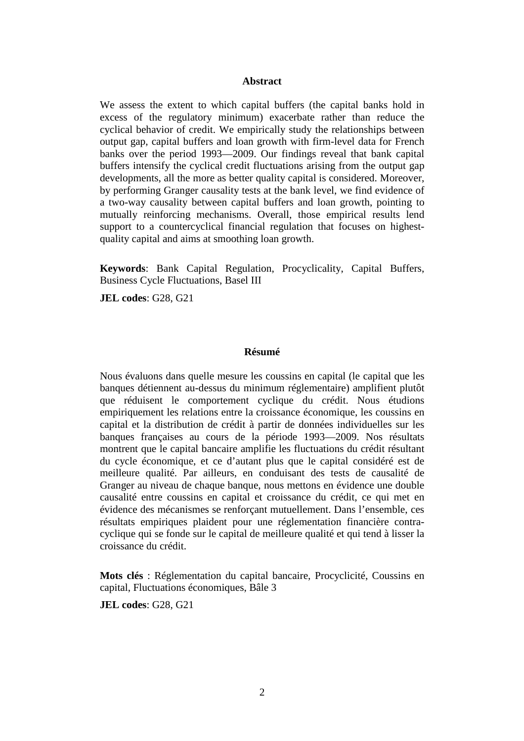#### **Abstract**

We assess the extent to which capital buffers (the capital banks hold in excess of the regulatory minimum) exacerbate rather than reduce the cyclical behavior of credit. We empirically study the relationships between output gap, capital buffers and loan growth with firm-level data for French banks over the period 1993—2009. Our findings reveal that bank capital buffers intensify the cyclical credit fluctuations arising from the output gap developments, all the more as better quality capital is considered. Moreover, by performing Granger causality tests at the bank level, we find evidence of a two-way causality between capital buffers and loan growth, pointing to mutually reinforcing mechanisms. Overall, those empirical results lend support to a countercyclical financial regulation that focuses on highestquality capital and aims at smoothing loan growth.

**Keywords**: Bank Capital Regulation, Procyclicality, Capital Buffers, Business Cycle Fluctuations, Basel III

**JEL codes**: G28, G21

#### **Résumé**

Nous évaluons dans quelle mesure les coussins en capital (le capital que les banques détiennent au-dessus du minimum réglementaire) amplifient plutôt que réduisent le comportement cyclique du crédit. Nous étudions empiriquement les relations entre la croissance économique, les coussins en capital et la distribution de crédit à partir de données individuelles sur les banques françaises au cours de la période 1993—2009. Nos résultats montrent que le capital bancaire amplifie les fluctuations du crédit résultant du cycle économique, et ce d'autant plus que le capital considéré est de meilleure qualité. Par ailleurs, en conduisant des tests de causalité de Granger au niveau de chaque banque, nous mettons en évidence une double causalité entre coussins en capital et croissance du crédit, ce qui met en évidence des mécanismes se renforçant mutuellement. Dans l'ensemble, ces résultats empiriques plaident pour une réglementation financière contracyclique qui se fonde sur le capital de meilleure qualité et qui tend à lisser la croissance du crédit.

**Mots clés** : Réglementation du capital bancaire, Procyclicité, Coussins en capital, Fluctuations économiques, Bâle 3

**JEL codes**: G28, G21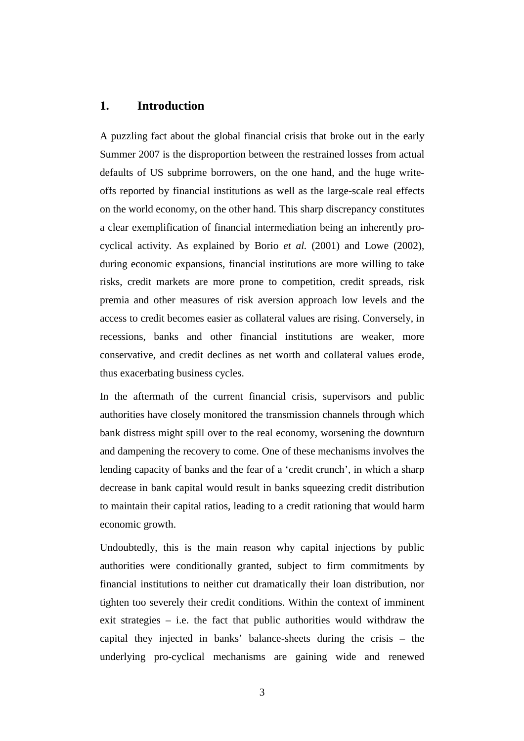## **1. Introduction**

A puzzling fact about the global financial crisis that broke out in the early Summer 2007 is the disproportion between the restrained losses from actual defaults of US subprime borrowers, on the one hand, and the huge writeoffs reported by financial institutions as well as the large-scale real effects on the world economy, on the other hand. This sharp discrepancy constitutes a clear exemplification of financial intermediation being an inherently procyclical activity. As explained by Borio *et al.* (2001) and Lowe (2002), during economic expansions, financial institutions are more willing to take risks, credit markets are more prone to competition, credit spreads, risk premia and other measures of risk aversion approach low levels and the access to credit becomes easier as collateral values are rising. Conversely, in recessions, banks and other financial institutions are weaker, more conservative, and credit declines as net worth and collateral values erode, thus exacerbating business cycles.

In the aftermath of the current financial crisis, supervisors and public authorities have closely monitored the transmission channels through which bank distress might spill over to the real economy, worsening the downturn and dampening the recovery to come. One of these mechanisms involves the lending capacity of banks and the fear of a 'credit crunch', in which a sharp decrease in bank capital would result in banks squeezing credit distribution to maintain their capital ratios, leading to a credit rationing that would harm economic growth.

Undoubtedly, this is the main reason why capital injections by public authorities were conditionally granted, subject to firm commitments by financial institutions to neither cut dramatically their loan distribution, nor tighten too severely their credit conditions. Within the context of imminent exit strategies – i.e. the fact that public authorities would withdraw the capital they injected in banks' balance-sheets during the crisis – the underlying pro-cyclical mechanisms are gaining wide and renewed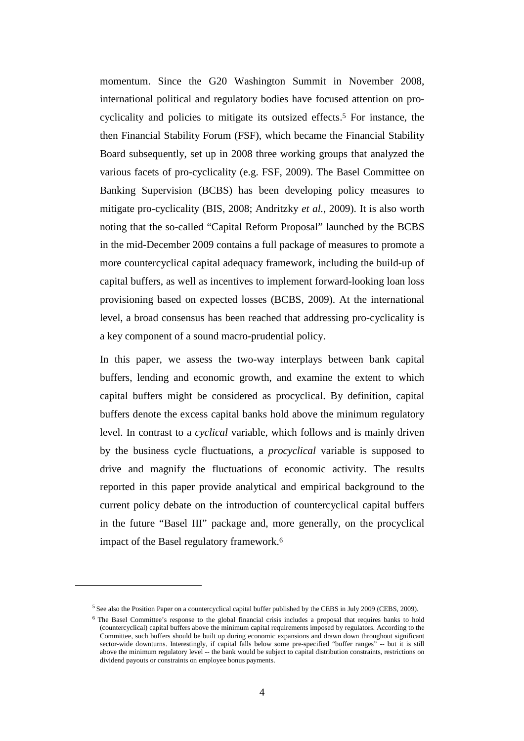momentum. Since the G20 Washington Summit in November 2008, international political and regulatory bodies have focused attention on procyclicality and policies to mitigate its outsized effects.5 For instance, the then Financial Stability Forum (FSF), which became the Financial Stability Board subsequently, set up in 2008 three working groups that analyzed the various facets of pro-cyclicality (e.g. FSF, 2009). The Basel Committee on Banking Supervision (BCBS) has been developing policy measures to mitigate pro-cyclicality (BIS, 2008; Andritzky *et al.*, 2009). It is also worth noting that the so-called "Capital Reform Proposal" launched by the BCBS in the mid-December 2009 contains a full package of measures to promote a more countercyclical capital adequacy framework, including the build-up of capital buffers, as well as incentives to implement forward-looking loan loss provisioning based on expected losses (BCBS, 2009). At the international level, a broad consensus has been reached that addressing pro-cyclicality is a key component of a sound macro-prudential policy.

In this paper, we assess the two-way interplays between bank capital buffers, lending and economic growth, and examine the extent to which capital buffers might be considered as procyclical. By definition, capital buffers denote the excess capital banks hold above the minimum regulatory level. In contrast to a *cyclical* variable, which follows and is mainly driven by the business cycle fluctuations, a *procyclical* variable is supposed to drive and magnify the fluctuations of economic activity. The results reported in this paper provide analytical and empirical background to the current policy debate on the introduction of countercyclical capital buffers in the future "Basel III" package and, more generally, on the procyclical impact of the Basel regulatory framework.<sup>6</sup>

l

<sup>&</sup>lt;sup>5</sup> See also the Position Paper on a countercyclical capital buffer published by the CEBS in July 2009 (CEBS, 2009).

<sup>&</sup>lt;sup>6</sup> The Basel Committee's response to the global financial crisis includes a proposal that requires banks to hold (countercyclical) capital buffers above the minimum capital requirements imposed by regulators. According to the Committee, such buffers should be built up during economic expansions and drawn down throughout significant sector-wide downturns. Interestingly, if capital falls below some pre-specified "buffer ranges" -- but it is still above the minimum regulatory level -- the bank would be subject to capital distribution constraints, restrictions on dividend payouts or constraints on employee bonus payments.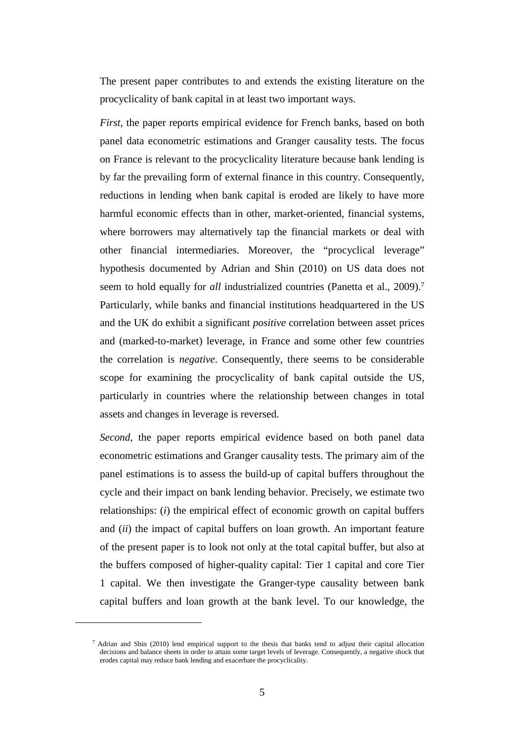The present paper contributes to and extends the existing literature on the procyclicality of bank capital in at least two important ways.

*First*, the paper reports empirical evidence for French banks, based on both panel data econometric estimations and Granger causality tests. The focus on France is relevant to the procyclicality literature because bank lending is by far the prevailing form of external finance in this country. Consequently, reductions in lending when bank capital is eroded are likely to have more harmful economic effects than in other, market-oriented, financial systems, where borrowers may alternatively tap the financial markets or deal with other financial intermediaries. Moreover, the "procyclical leverage" hypothesis documented by Adrian and Shin (2010) on US data does not seem to hold equally for *all* industrialized countries (Panetta et al., 2009).<sup>7</sup> Particularly, while banks and financial institutions headquartered in the US and the UK do exhibit a significant *positive* correlation between asset prices and (marked-to-market) leverage, in France and some other few countries the correlation is *negative*. Consequently, there seems to be considerable scope for examining the procyclicality of bank capital outside the US, particularly in countries where the relationship between changes in total assets and changes in leverage is reversed.

*Second*, the paper reports empirical evidence based on both panel data econometric estimations and Granger causality tests. The primary aim of the panel estimations is to assess the build-up of capital buffers throughout the cycle and their impact on bank lending behavior. Precisely, we estimate two relationships: (*i*) the empirical effect of economic growth on capital buffers and (*ii*) the impact of capital buffers on loan growth. An important feature of the present paper is to look not only at the total capital buffer, but also at the buffers composed of higher-quality capital: Tier 1 capital and core Tier 1 capital. We then investigate the Granger-type causality between bank capital buffers and loan growth at the bank level. To our knowledge, the

 $\overline{a}$ 

<sup>7</sup> Adrian and Shin (2010) lend empirical support to the thesis that banks tend to adjust their capital allocation decisions and balance sheets in order to attain some target levels of leverage. Consequently, a negative shock that erodes capital may reduce bank lending and exacerbate the procyclicality.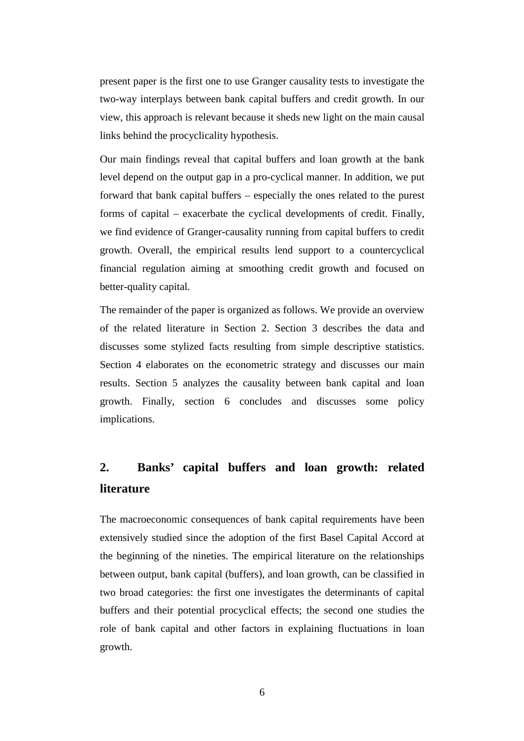present paper is the first one to use Granger causality tests to investigate the two-way interplays between bank capital buffers and credit growth. In our view, this approach is relevant because it sheds new light on the main causal links behind the procyclicality hypothesis.

Our main findings reveal that capital buffers and loan growth at the bank level depend on the output gap in a pro-cyclical manner. In addition, we put forward that bank capital buffers – especially the ones related to the purest forms of capital – exacerbate the cyclical developments of credit. Finally, we find evidence of Granger-causality running from capital buffers to credit growth. Overall, the empirical results lend support to a countercyclical financial regulation aiming at smoothing credit growth and focused on better-quality capital.

The remainder of the paper is organized as follows. We provide an overview of the related literature in Section 2. Section 3 describes the data and discusses some stylized facts resulting from simple descriptive statistics. Section 4 elaborates on the econometric strategy and discusses our main results. Section 5 analyzes the causality between bank capital and loan growth. Finally, section 6 concludes and discusses some policy implications.

# **2. Banks' capital buffers and loan growth: related literature**

The macroeconomic consequences of bank capital requirements have been extensively studied since the adoption of the first Basel Capital Accord at the beginning of the nineties. The empirical literature on the relationships between output, bank capital (buffers), and loan growth, can be classified in two broad categories: the first one investigates the determinants of capital buffers and their potential procyclical effects; the second one studies the role of bank capital and other factors in explaining fluctuations in loan growth.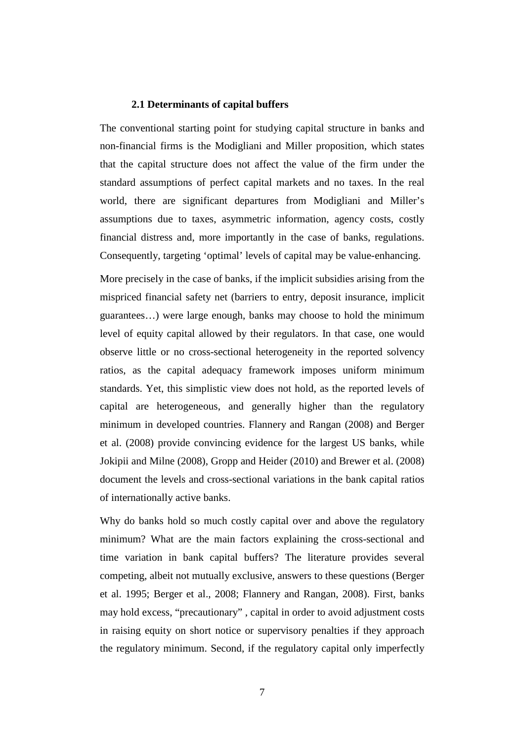#### **2.1 Determinants of capital buffers**

The conventional starting point for studying capital structure in banks and non-financial firms is the Modigliani and Miller proposition, which states that the capital structure does not affect the value of the firm under the standard assumptions of perfect capital markets and no taxes. In the real world, there are significant departures from Modigliani and Miller's assumptions due to taxes, asymmetric information, agency costs, costly financial distress and, more importantly in the case of banks, regulations. Consequently, targeting 'optimal' levels of capital may be value-enhancing.

More precisely in the case of banks, if the implicit subsidies arising from the mispriced financial safety net (barriers to entry, deposit insurance, implicit guarantees…) were large enough, banks may choose to hold the minimum level of equity capital allowed by their regulators. In that case, one would observe little or no cross-sectional heterogeneity in the reported solvency ratios, as the capital adequacy framework imposes uniform minimum standards. Yet, this simplistic view does not hold, as the reported levels of capital are heterogeneous, and generally higher than the regulatory minimum in developed countries. Flannery and Rangan (2008) and Berger et al. (2008) provide convincing evidence for the largest US banks, while Jokipii and Milne (2008), Gropp and Heider (2010) and Brewer et al. (2008) document the levels and cross-sectional variations in the bank capital ratios of internationally active banks.

Why do banks hold so much costly capital over and above the regulatory minimum? What are the main factors explaining the cross-sectional and time variation in bank capital buffers? The literature provides several competing, albeit not mutually exclusive, answers to these questions (Berger et al. 1995; Berger et al., 2008; Flannery and Rangan, 2008). First, banks may hold excess, "precautionary" , capital in order to avoid adjustment costs in raising equity on short notice or supervisory penalties if they approach the regulatory minimum. Second, if the regulatory capital only imperfectly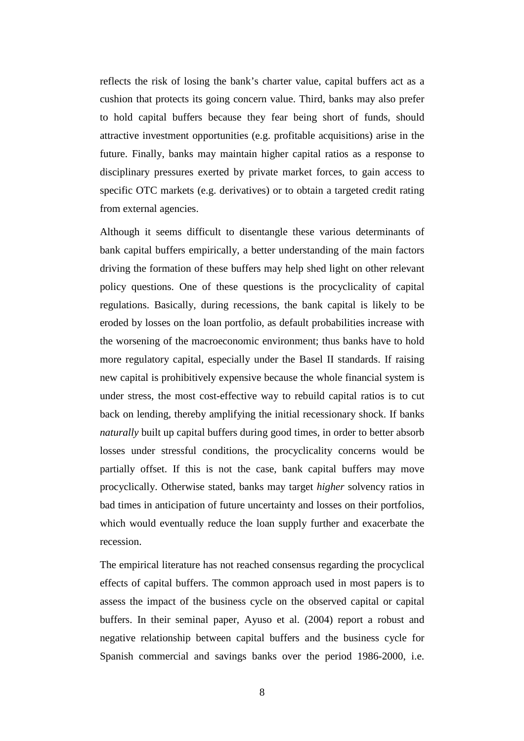reflects the risk of losing the bank's charter value, capital buffers act as a cushion that protects its going concern value. Third, banks may also prefer to hold capital buffers because they fear being short of funds, should attractive investment opportunities (e.g. profitable acquisitions) arise in the future. Finally, banks may maintain higher capital ratios as a response to disciplinary pressures exerted by private market forces, to gain access to specific OTC markets (e.g. derivatives) or to obtain a targeted credit rating from external agencies.

Although it seems difficult to disentangle these various determinants of bank capital buffers empirically, a better understanding of the main factors driving the formation of these buffers may help shed light on other relevant policy questions. One of these questions is the procyclicality of capital regulations. Basically, during recessions, the bank capital is likely to be eroded by losses on the loan portfolio, as default probabilities increase with the worsening of the macroeconomic environment; thus banks have to hold more regulatory capital, especially under the Basel II standards. If raising new capital is prohibitively expensive because the whole financial system is under stress, the most cost-effective way to rebuild capital ratios is to cut back on lending, thereby amplifying the initial recessionary shock. If banks *naturally* built up capital buffers during good times, in order to better absorb losses under stressful conditions, the procyclicality concerns would be partially offset. If this is not the case, bank capital buffers may move procyclically. Otherwise stated, banks may target *higher* solvency ratios in bad times in anticipation of future uncertainty and losses on their portfolios, which would eventually reduce the loan supply further and exacerbate the recession.

The empirical literature has not reached consensus regarding the procyclical effects of capital buffers. The common approach used in most papers is to assess the impact of the business cycle on the observed capital or capital buffers. In their seminal paper, Ayuso et al. (2004) report a robust and negative relationship between capital buffers and the business cycle for Spanish commercial and savings banks over the period 1986-2000, i.e.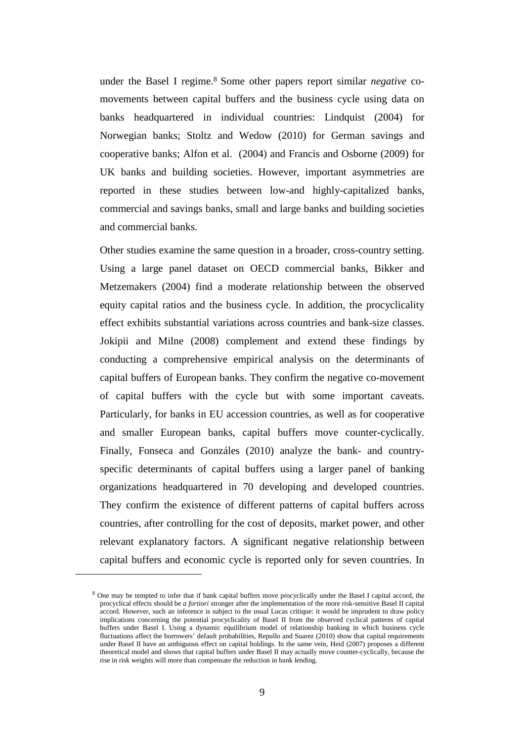under the Basel I regime.<sup>8</sup> Some other papers report similar *negative* comovements between capital buffers and the business cycle using data on banks headquartered in individual countries: Lindquist (2004) for Norwegian banks; Stoltz and Wedow (2010) for German savings and cooperative banks; Alfon et al. (2004) and Francis and Osborne (2009) for UK banks and building societies. However, important asymmetries are reported in these studies between low-and highly-capitalized banks, commercial and savings banks, small and large banks and building societies and commercial banks.

Other studies examine the same question in a broader, cross-country setting. Using a large panel dataset on OECD commercial banks, Bikker and Metzemakers (2004) find a moderate relationship between the observed equity capital ratios and the business cycle. In addition, the procyclicality effect exhibits substantial variations across countries and bank-size classes. Jokipii and Milne (2008) complement and extend these findings by conducting a comprehensive empirical analysis on the determinants of capital buffers of European banks. They confirm the negative co-movement of capital buffers with the cycle but with some important caveats. Particularly, for banks in EU accession countries, as well as for cooperative and smaller European banks, capital buffers move counter-cyclically. Finally, Fonseca and Gonzáles (2010) analyze the bank- and countryspecific determinants of capital buffers using a larger panel of banking organizations headquartered in 70 developing and developed countries. They confirm the existence of different patterns of capital buffers across countries, after controlling for the cost of deposits, market power, and other relevant explanatory factors. A significant negative relationship between capital buffers and economic cycle is reported only for seven countries. In

 $\overline{a}$ 

<sup>&</sup>lt;sup>8</sup> One may be tempted to infer that if bank capital buffers move procyclically under the Basel I capital accord, the procyclical effects should be *a fortiori* stronger after the implementation of the more risk-sensitive Basel II capital accord. However, such an inference is subject to the usual Lucas critique: it would be imprudent to draw policy implications concerning the potential procyclicality of Basel II from the observed cyclical patterns of capital buffers under Basel I. Using a dynamic equilibrium model of relationship banking in which business cycle fluctuations affect the borrowers' default probabilities, Repullo and Suarez (2010) show that capital requirements under Basel II have an ambiguous effect on capital holdings. In the same vein, Heid (2007) proposes a different theoretical model and shows that capital buffers under Basel II may actually move counter-cyclically, because the rise in risk weights will more than compensate the reduction in bank lending.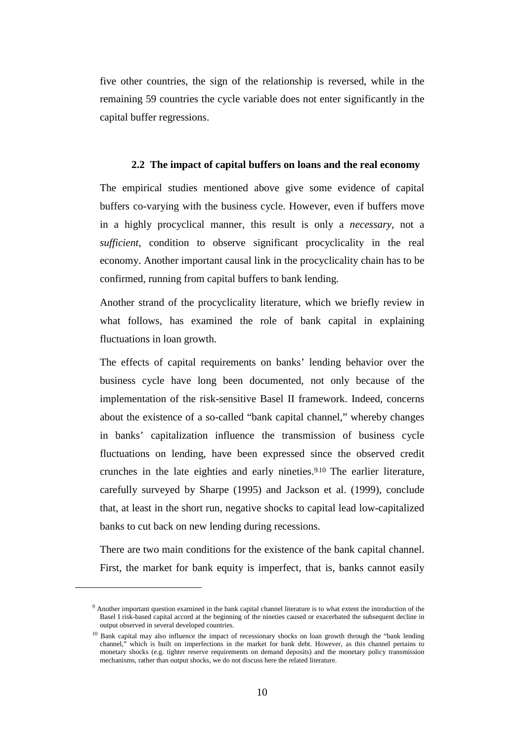five other countries, the sign of the relationship is reversed, while in the remaining 59 countries the cycle variable does not enter significantly in the capital buffer regressions.

#### **2.2 The impact of capital buffers on loans and the real economy**

The empirical studies mentioned above give some evidence of capital buffers co-varying with the business cycle. However, even if buffers move in a highly procyclical manner, this result is only a *necessary*, not a *sufficient*, condition to observe significant procyclicality in the real economy. Another important causal link in the procyclicality chain has to be confirmed, running from capital buffers to bank lending.

Another strand of the procyclicality literature, which we briefly review in what follows, has examined the role of bank capital in explaining fluctuations in loan growth.

The effects of capital requirements on banks' lending behavior over the business cycle have long been documented, not only because of the implementation of the risk-sensitive Basel II framework. Indeed, concerns about the existence of a so-called "bank capital channel," whereby changes in banks' capitalization influence the transmission of business cycle fluctuations on lending, have been expressed since the observed credit crunches in the late eighties and early nineties.<sup>9</sup>,<sup>10</sup> The earlier literature, carefully surveyed by Sharpe (1995) and Jackson et al. (1999), conclude that, at least in the short run, negative shocks to capital lead low-capitalized banks to cut back on new lending during recessions.

There are two main conditions for the existence of the bank capital channel. First, the market for bank equity is imperfect, that is, banks cannot easily

 $\overline{a}$ 

<sup>&</sup>lt;sup>9</sup> Another important question examined in the bank capital channel literature is to what extent the introduction of the Basel I risk-based capital accord at the beginning of the nineties caused or exacerbated the subsequent decline in output observed in several developed countries.

<sup>&</sup>lt;sup>10</sup> Bank capital may also influence the impact of recessionary shocks on loan growth through the "bank lending channel," which is built on imperfections in the market for bank debt. However, as this channel pertains to monetary shocks (e.g. tighter reserve requirements on demand deposits) and the monetary policy transmission mechanisms, rather than output shocks, we do not discuss here the related literature.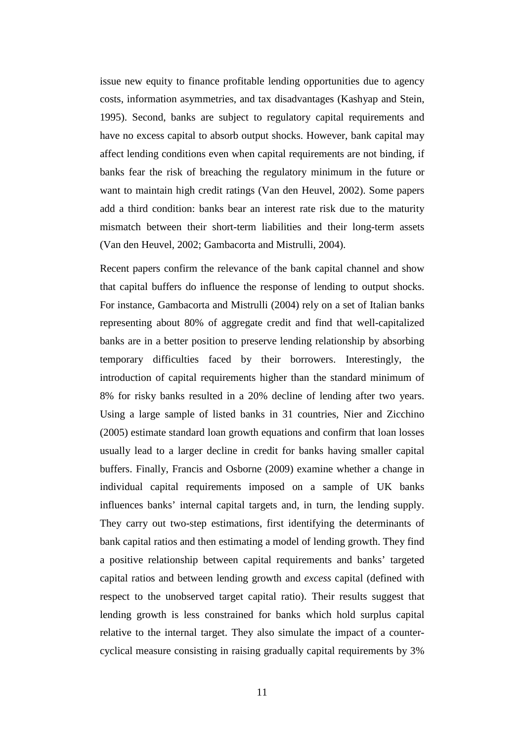issue new equity to finance profitable lending opportunities due to agency costs, information asymmetries, and tax disadvantages (Kashyap and Stein, 1995). Second, banks are subject to regulatory capital requirements and have no excess capital to absorb output shocks. However, bank capital may affect lending conditions even when capital requirements are not binding, if banks fear the risk of breaching the regulatory minimum in the future or want to maintain high credit ratings (Van den Heuvel, 2002). Some papers add a third condition: banks bear an interest rate risk due to the maturity mismatch between their short-term liabilities and their long-term assets (Van den Heuvel, 2002; Gambacorta and Mistrulli, 2004).

Recent papers confirm the relevance of the bank capital channel and show that capital buffers do influence the response of lending to output shocks. For instance, Gambacorta and Mistrulli (2004) rely on a set of Italian banks representing about 80% of aggregate credit and find that well-capitalized banks are in a better position to preserve lending relationship by absorbing temporary difficulties faced by their borrowers. Interestingly, the introduction of capital requirements higher than the standard minimum of 8% for risky banks resulted in a 20% decline of lending after two years. Using a large sample of listed banks in 31 countries, Nier and Zicchino (2005) estimate standard loan growth equations and confirm that loan losses usually lead to a larger decline in credit for banks having smaller capital buffers. Finally, Francis and Osborne (2009) examine whether a change in individual capital requirements imposed on a sample of UK banks influences banks' internal capital targets and, in turn, the lending supply. They carry out two-step estimations, first identifying the determinants of bank capital ratios and then estimating a model of lending growth. They find a positive relationship between capital requirements and banks' targeted capital ratios and between lending growth and *excess* capital (defined with respect to the unobserved target capital ratio). Their results suggest that lending growth is less constrained for banks which hold surplus capital relative to the internal target. They also simulate the impact of a countercyclical measure consisting in raising gradually capital requirements by 3%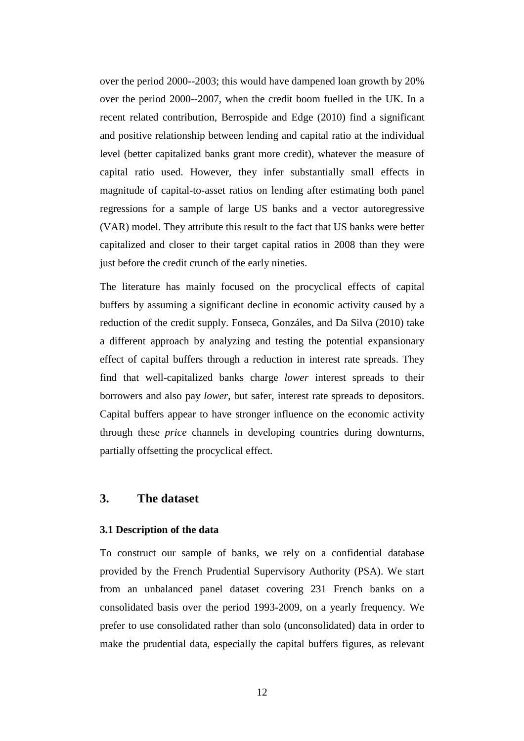over the period 2000--2003; this would have dampened loan growth by 20% over the period 2000--2007, when the credit boom fuelled in the UK. In a recent related contribution, Berrospide and Edge (2010) find a significant and positive relationship between lending and capital ratio at the individual level (better capitalized banks grant more credit), whatever the measure of capital ratio used. However, they infer substantially small effects in magnitude of capital-to-asset ratios on lending after estimating both panel regressions for a sample of large US banks and a vector autoregressive (VAR) model. They attribute this result to the fact that US banks were better capitalized and closer to their target capital ratios in 2008 than they were just before the credit crunch of the early nineties.

The literature has mainly focused on the procyclical effects of capital buffers by assuming a significant decline in economic activity caused by a reduction of the credit supply. Fonseca, Gonzáles, and Da Silva (2010) take a different approach by analyzing and testing the potential expansionary effect of capital buffers through a reduction in interest rate spreads. They find that well-capitalized banks charge *lower* interest spreads to their borrowers and also pay *lower*, but safer, interest rate spreads to depositors. Capital buffers appear to have stronger influence on the economic activity through these *price* channels in developing countries during downturns, partially offsetting the procyclical effect.

## **3. The dataset**

#### **3.1 Description of the data**

To construct our sample of banks, we rely on a confidential database provided by the French Prudential Supervisory Authority (PSA). We start from an unbalanced panel dataset covering 231 French banks on a consolidated basis over the period 1993-2009, on a yearly frequency. We prefer to use consolidated rather than solo (unconsolidated) data in order to make the prudential data, especially the capital buffers figures, as relevant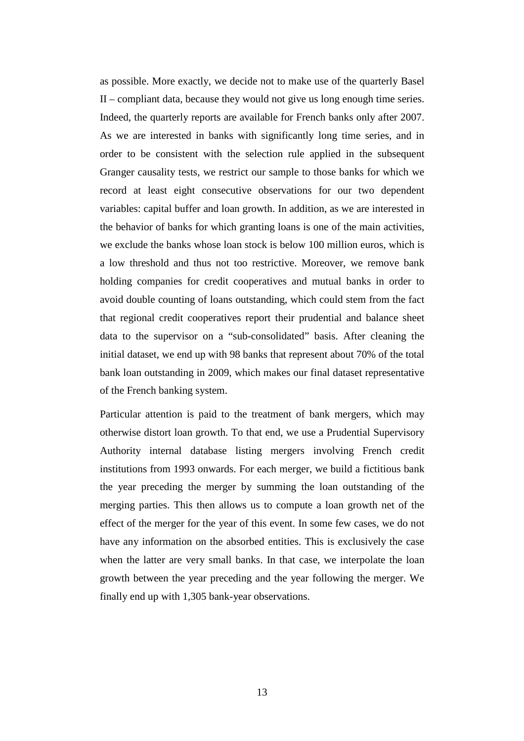as possible. More exactly, we decide not to make use of the quarterly Basel II – compliant data, because they would not give us long enough time series. Indeed, the quarterly reports are available for French banks only after 2007. As we are interested in banks with significantly long time series, and in order to be consistent with the selection rule applied in the subsequent Granger causality tests, we restrict our sample to those banks for which we record at least eight consecutive observations for our two dependent variables: capital buffer and loan growth. In addition, as we are interested in the behavior of banks for which granting loans is one of the main activities, we exclude the banks whose loan stock is below 100 million euros, which is a low threshold and thus not too restrictive. Moreover, we remove bank holding companies for credit cooperatives and mutual banks in order to avoid double counting of loans outstanding, which could stem from the fact that regional credit cooperatives report their prudential and balance sheet data to the supervisor on a "sub-consolidated" basis. After cleaning the initial dataset, we end up with 98 banks that represent about 70% of the total bank loan outstanding in 2009, which makes our final dataset representative of the French banking system.

Particular attention is paid to the treatment of bank mergers, which may otherwise distort loan growth. To that end, we use a Prudential Supervisory Authority internal database listing mergers involving French credit institutions from 1993 onwards. For each merger, we build a fictitious bank the year preceding the merger by summing the loan outstanding of the merging parties. This then allows us to compute a loan growth net of the effect of the merger for the year of this event. In some few cases, we do not have any information on the absorbed entities. This is exclusively the case when the latter are very small banks. In that case, we interpolate the loan growth between the year preceding and the year following the merger. We finally end up with 1,305 bank-year observations.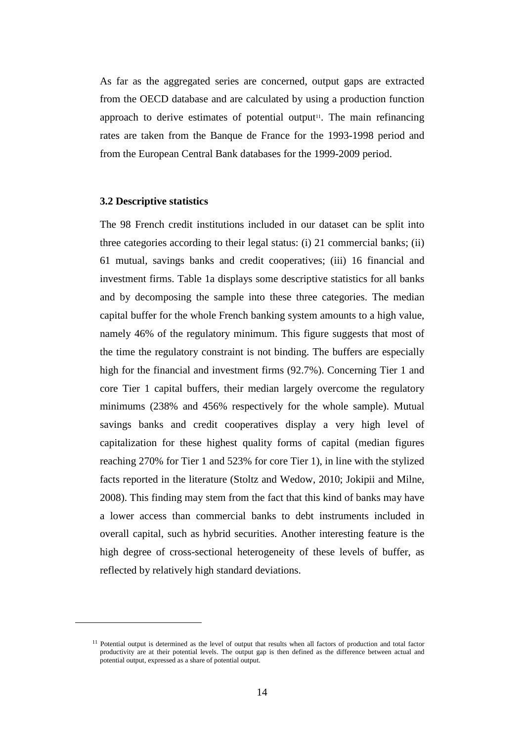As far as the aggregated series are concerned, output gaps are extracted from the OECD database and are calculated by using a production function approach to derive estimates of potential output<sup>11</sup>. The main refinancing rates are taken from the Banque de France for the 1993-1998 period and from the European Central Bank databases for the 1999-2009 period.

#### **3.2 Descriptive statistics**

 $\overline{a}$ 

The 98 French credit institutions included in our dataset can be split into three categories according to their legal status: (i) 21 commercial banks; (ii) 61 mutual, savings banks and credit cooperatives; (iii) 16 financial and investment firms. Table 1a displays some descriptive statistics for all banks and by decomposing the sample into these three categories. The median capital buffer for the whole French banking system amounts to a high value, namely 46% of the regulatory minimum. This figure suggests that most of the time the regulatory constraint is not binding. The buffers are especially high for the financial and investment firms (92.7%). Concerning Tier 1 and core Tier 1 capital buffers, their median largely overcome the regulatory minimums (238% and 456% respectively for the whole sample). Mutual savings banks and credit cooperatives display a very high level of capitalization for these highest quality forms of capital (median figures reaching 270% for Tier 1 and 523% for core Tier 1), in line with the stylized facts reported in the literature (Stoltz and Wedow, 2010; Jokipii and Milne, 2008). This finding may stem from the fact that this kind of banks may have a lower access than commercial banks to debt instruments included in overall capital, such as hybrid securities. Another interesting feature is the high degree of cross-sectional heterogeneity of these levels of buffer, as reflected by relatively high standard deviations.

<sup>&</sup>lt;sup>11</sup> Potential output is determined as the level of output that results when all factors of production and total factor productivity are at their potential levels. The output gap is then defined as the difference between actual and potential output, expressed as a share of potential output.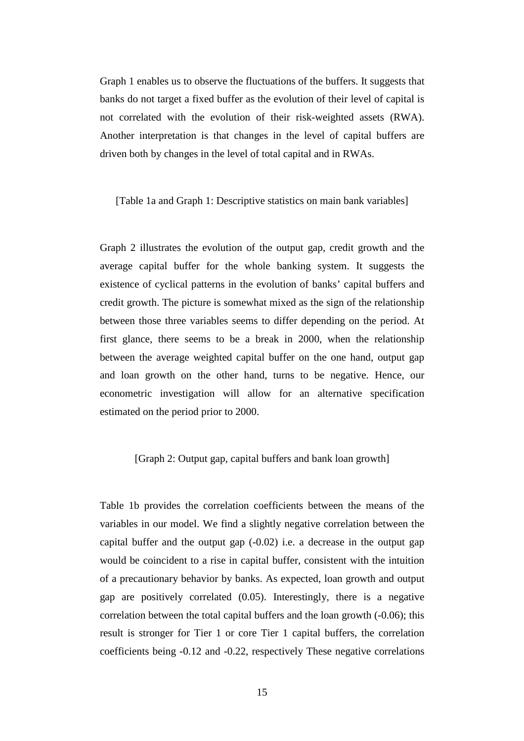Graph 1 enables us to observe the fluctuations of the buffers. It suggests that banks do not target a fixed buffer as the evolution of their level of capital is not correlated with the evolution of their risk-weighted assets (RWA). Another interpretation is that changes in the level of capital buffers are driven both by changes in the level of total capital and in RWAs.

[Table 1a and Graph 1: Descriptive statistics on main bank variables]

Graph 2 illustrates the evolution of the output gap, credit growth and the average capital buffer for the whole banking system. It suggests the existence of cyclical patterns in the evolution of banks' capital buffers and credit growth. The picture is somewhat mixed as the sign of the relationship between those three variables seems to differ depending on the period. At first glance, there seems to be a break in 2000, when the relationship between the average weighted capital buffer on the one hand, output gap and loan growth on the other hand, turns to be negative. Hence, our econometric investigation will allow for an alternative specification estimated on the period prior to 2000.

#### [Graph 2: Output gap, capital buffers and bank loan growth]

Table 1b provides the correlation coefficients between the means of the variables in our model. We find a slightly negative correlation between the capital buffer and the output gap  $(-0.02)$  i.e. a decrease in the output gap would be coincident to a rise in capital buffer, consistent with the intuition of a precautionary behavior by banks. As expected, loan growth and output gap are positively correlated (0.05). Interestingly, there is a negative correlation between the total capital buffers and the loan growth (-0.06); this result is stronger for Tier 1 or core Tier 1 capital buffers, the correlation coefficients being -0.12 and -0.22, respectively These negative correlations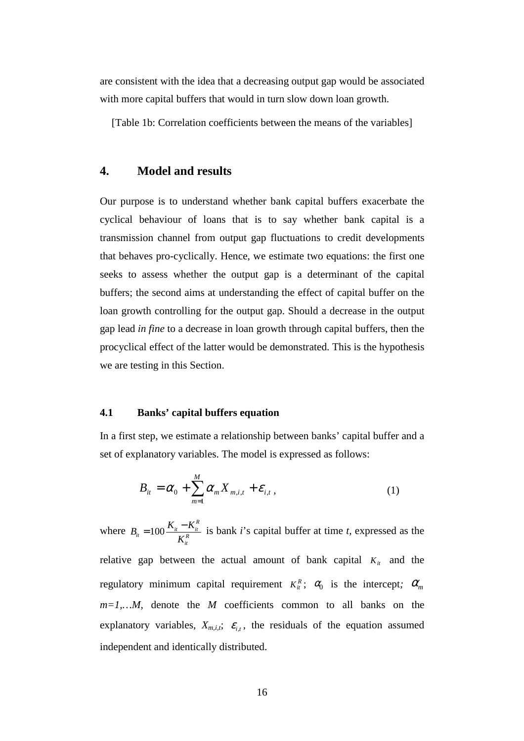are consistent with the idea that a decreasing output gap would be associated with more capital buffers that would in turn slow down loan growth.

[Table 1b: Correlation coefficients between the means of the variables]

### **4. Model and results**

Our purpose is to understand whether bank capital buffers exacerbate the cyclical behaviour of loans that is to say whether bank capital is a transmission channel from output gap fluctuations to credit developments that behaves pro-cyclically. Hence, we estimate two equations: the first one seeks to assess whether the output gap is a determinant of the capital buffers; the second aims at understanding the effect of capital buffer on the loan growth controlling for the output gap. Should a decrease in the output gap lead *in fine* to a decrease in loan growth through capital buffers, then the procyclical effect of the latter would be demonstrated. This is the hypothesis we are testing in this Section.

#### **4.1 Banks' capital buffers equation**

In a first step, we estimate a relationship between banks' capital buffer and a set of explanatory variables. The model is expressed as follows:

$$
B_{ii} = \alpha_0 + \sum_{m=1}^{M} \alpha_m X_{m,i,t} + \varepsilon_{i,t},
$$
\n(1)

where  $B_{it} = 100 \frac{K_{it} - I}{K_{it}^R}$  $R_{it} = 100 \frac{K_{it} - K_{it}^R}{K_{it}^R}$  $B_{\mu} = 100 \frac{K_{\mu} - K_{\mu}^{R}}{K_{\mu}^{R}}$  is bank *i*'s capital buffer at time *t*, expressed as the relative gap between the actual amount of bank capital  $K_i$  and the regulatory minimum capital requirement  $K_i^R$ ;  $\alpha_0$  is the intercept;  $\alpha_m$  $m=1,...M$ , denote the *M* coefficients common to all banks on the explanatory variables,  $X_{m,i,t}$ ;  $\varepsilon_{i,t}$ , the residuals of the equation assumed independent and identically distributed.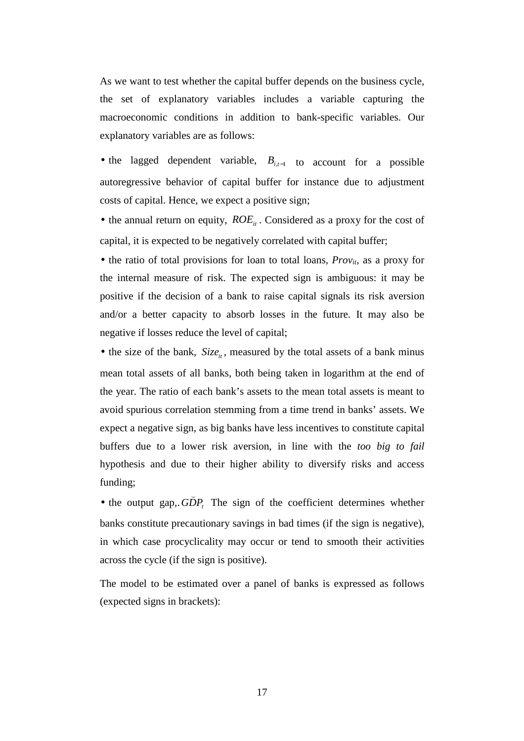As we want to test whether the capital buffer depends on the business cycle, the set of explanatory variables includes a variable capturing the macroeconomic conditions in addition to bank-specific variables. Our explanatory variables are as follows:

• the lagged dependent variable,  $B_{i,t-1}$  to account for a possible autoregressive behavior of capital buffer for instance due to adjustment costs of capital. Hence, we expect a positive sign;

• the annual return on equity,  $ROE_i$ . Considered as a proxy for the cost of capital, it is expected to be negatively correlated with capital buffer;

• the ratio of total provisions for loan to total loans, *Prov<sub>it</sub>*, as a proxy for the internal measure of risk. The expected sign is ambiguous: it may be positive if the decision of a bank to raise capital signals its risk aversion and/or a better capacity to absorb losses in the future. It may also be negative if losses reduce the level of capital;

• the size of the bank,  $Size_i$ , measured by the total assets of a bank minus mean total assets of all banks, both being taken in logarithm at the end of the year. The ratio of each bank's assets to the mean total assets is meant to avoid spurious correlation stemming from a time trend in banks' assets. We expect a negative sign, as big banks have less incentives to constitute capital buffers due to a lower risk aversion, in line with the *too big to fail* hypothesis and due to their higher ability to diversify risks and access funding; (

 $\bullet$  the output gap,  $GDP_t$ . The sign of the coefficient determines whether banks constitute precautionary savings in bad times (if the sign is negative), in which case procyclicality may occur or tend to smooth their activities across the cycle (if the sign is positive).

The model to be estimated over a panel of banks is expressed as follows (expected signs in brackets):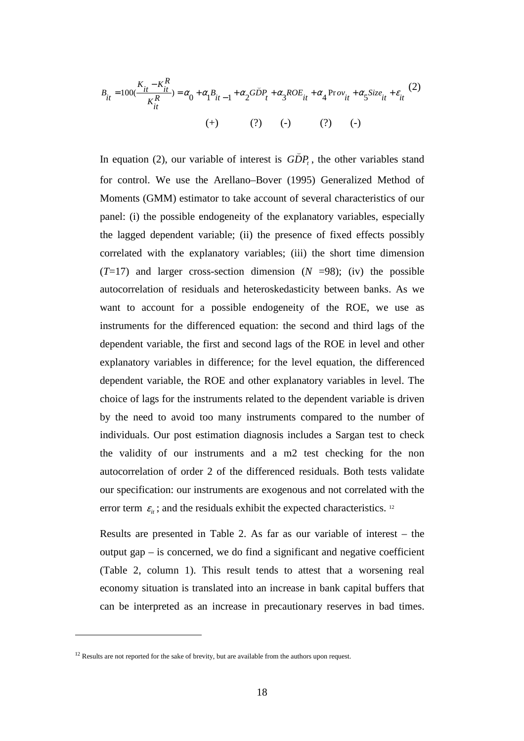$$
B_{it} = 100(\frac{K_{it} - K_{it}^R}{K_{it}^R}) = \alpha_0 + \alpha_1 B_{it-1} + \alpha_2 G \bar{D} P_t + \alpha_3 R O E_{it} + \alpha_4 P r o v_{it} + \alpha_5 S i z e_{it} + \varepsilon_{it} (2)
$$
  
(+) (?) (-) (?)

(

In equation (2), our variable of interest is  $GDP<sub>t</sub>$ , the other variables stand for control. We use the Arellano–Bover (1995) Generalized Method of Moments (GMM) estimator to take account of several characteristics of our panel: (i) the possible endogeneity of the explanatory variables, especially the lagged dependent variable; (ii) the presence of fixed effects possibly correlated with the explanatory variables; (iii) the short time dimension  $(T=17)$  and larger cross-section dimension  $(N = 98)$ ; (iv) the possible autocorrelation of residuals and heteroskedasticity between banks. As we want to account for a possible endogeneity of the ROE, we use as instruments for the differenced equation: the second and third lags of the dependent variable, the first and second lags of the ROE in level and other explanatory variables in difference; for the level equation, the differenced dependent variable, the ROE and other explanatory variables in level. The choice of lags for the instruments related to the dependent variable is driven by the need to avoid too many instruments compared to the number of individuals. Our post estimation diagnosis includes a Sargan test to check the validity of our instruments and a m2 test checking for the non autocorrelation of order 2 of the differenced residuals. Both tests validate our specification: our instruments are exogenous and not correlated with the error term  $\varepsilon_{it}$ ; and the residuals exhibit the expected characteristics. <sup>12</sup>

Results are presented in Table 2. As far as our variable of interest – the output gap – is concerned, we do find a significant and negative coefficient (Table 2, column 1). This result tends to attest that a worsening real economy situation is translated into an increase in bank capital buffers that can be interpreted as an increase in precautionary reserves in bad times.

 $\overline{a}$ 

 $12$  Results are not reported for the sake of brevity, but are available from the authors upon request.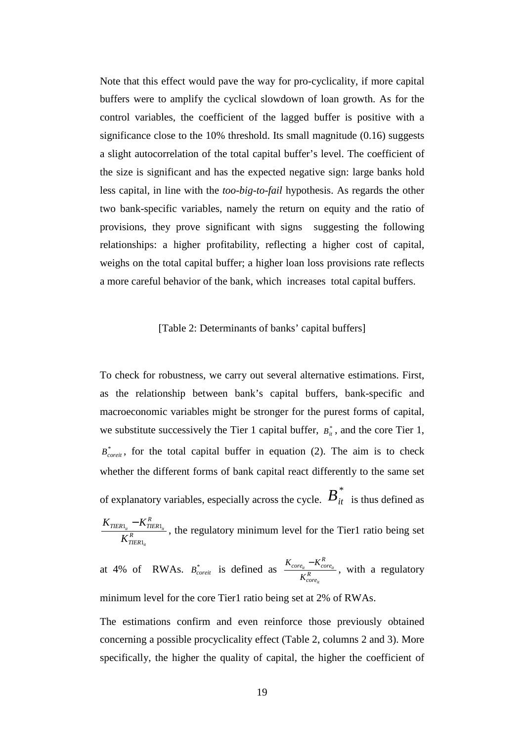Note that this effect would pave the way for pro-cyclicality, if more capital buffers were to amplify the cyclical slowdown of loan growth. As for the control variables, the coefficient of the lagged buffer is positive with a significance close to the 10% threshold. Its small magnitude (0.16) suggests a slight autocorrelation of the total capital buffer's level. The coefficient of the size is significant and has the expected negative sign: large banks hold less capital, in line with the *too-big-to-fail* hypothesis. As regards the other two bank-specific variables, namely the return on equity and the ratio of provisions, they prove significant with signs suggesting the following relationships: a higher profitability, reflecting a higher cost of capital, weighs on the total capital buffer; a higher loan loss provisions rate reflects a more careful behavior of the bank, which increases total capital buffers.

#### [Table 2: Determinants of banks' capital buffers]

To check for robustness, we carry out several alternative estimations. First, as the relationship between bank's capital buffers, bank-specific and macroeconomic variables might be stronger for the purest forms of capital, we substitute successively the Tier 1 capital buffer,  $B_{it}^*$ , and the core Tier 1,  $B_{\text{coreit}}^*$ , for the total capital buffer in equation (2). The aim is to check whether the different forms of bank capital react differently to the same set of explanatory variables, especially across the cycle.  $B_{it}^*$  is thus defined as *R TIER R*  $TIER1_{it}$  **TIER** *it it*  $IILN1_{it}$ *K*  $K$ <sub>*TIER*1.</sub>  $-K$ 1  $\frac{1}{N} - K_{TIER1_h}^R$ , the regulatory minimum level for the Tier1 ratio being set

at 4% of RWAs.  $B_{\text{coreit}}^*$  is defined as  $\frac{R_{\text{coreit}}}{K_{\text{coreit}}^R}$  $\frac{C}{c}$ *core*<sub>*it*</sub></sub>  $-K_{core}^R$ *it it it K*  $\frac{K_{core_{it}} - K_{core_{it}}^R}{K_{core_{it}}}$ , with a regulatory minimum level for the core Tier1 ratio being set at 2% of RWAs.

The estimations confirm and even reinforce those previously obtained concerning a possible procyclicality effect (Table 2, columns 2 and 3). More specifically, the higher the quality of capital, the higher the coefficient of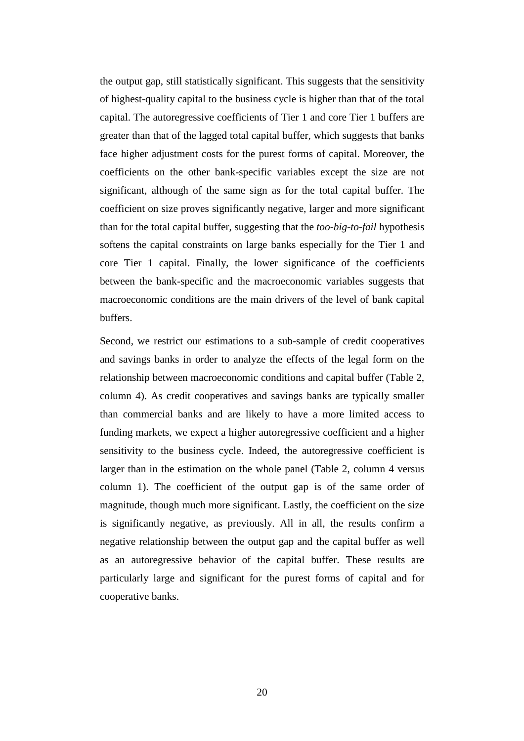the output gap, still statistically significant. This suggests that the sensitivity of highest-quality capital to the business cycle is higher than that of the total capital. The autoregressive coefficients of Tier 1 and core Tier 1 buffers are greater than that of the lagged total capital buffer, which suggests that banks face higher adjustment costs for the purest forms of capital. Moreover, the coefficients on the other bank-specific variables except the size are not significant, although of the same sign as for the total capital buffer. The coefficient on size proves significantly negative, larger and more significant than for the total capital buffer, suggesting that the *too-big-to-fail* hypothesis softens the capital constraints on large banks especially for the Tier 1 and core Tier 1 capital. Finally, the lower significance of the coefficients between the bank-specific and the macroeconomic variables suggests that macroeconomic conditions are the main drivers of the level of bank capital buffers.

Second, we restrict our estimations to a sub-sample of credit cooperatives and savings banks in order to analyze the effects of the legal form on the relationship between macroeconomic conditions and capital buffer (Table 2, column 4). As credit cooperatives and savings banks are typically smaller than commercial banks and are likely to have a more limited access to funding markets, we expect a higher autoregressive coefficient and a higher sensitivity to the business cycle. Indeed, the autoregressive coefficient is larger than in the estimation on the whole panel (Table 2, column 4 versus column 1). The coefficient of the output gap is of the same order of magnitude, though much more significant. Lastly, the coefficient on the size is significantly negative, as previously. All in all, the results confirm a negative relationship between the output gap and the capital buffer as well as an autoregressive behavior of the capital buffer. These results are particularly large and significant for the purest forms of capital and for cooperative banks.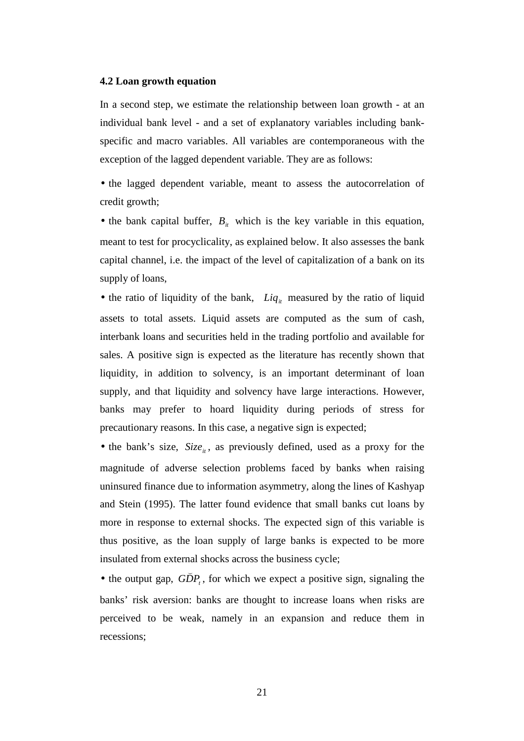#### **4.2 Loan growth equation**

In a second step, we estimate the relationship between loan growth - at an individual bank level - and a set of explanatory variables including bankspecific and macro variables. All variables are contemporaneous with the exception of the lagged dependent variable. They are as follows:

• the lagged dependent variable, meant to assess the autocorrelation of credit growth;

• the bank capital buffer,  $B_{it}$  which is the key variable in this equation, meant to test for procyclicality, as explained below. It also assesses the bank capital channel, i.e. the impact of the level of capitalization of a bank on its supply of loans,

• the ratio of liquidity of the bank,  $Liq_{it}$  measured by the ratio of liquid assets to total assets. Liquid assets are computed as the sum of cash, interbank loans and securities held in the trading portfolio and available for sales. A positive sign is expected as the literature has recently shown that liquidity, in addition to solvency, is an important determinant of loan supply, and that liquidity and solvency have large interactions. However, banks may prefer to hoard liquidity during periods of stress for precautionary reasons. In this case, a negative sign is expected;

• the bank's size,  $Size_{it}$ , as previously defined, used as a proxy for the magnitude of adverse selection problems faced by banks when raising uninsured finance due to information asymmetry, along the lines of Kashyap and Stein (1995). The latter found evidence that small banks cut loans by more in response to external shocks. The expected sign of this variable is thus positive, as the loan supply of large banks is expected to be more insulated from external shocks across the business cycle; (

• the output gap,  $GDP<sub>t</sub>$ , for which we expect a positive sign, signaling the banks' risk aversion: banks are thought to increase loans when risks are perceived to be weak, namely in an expansion and reduce them in recessions;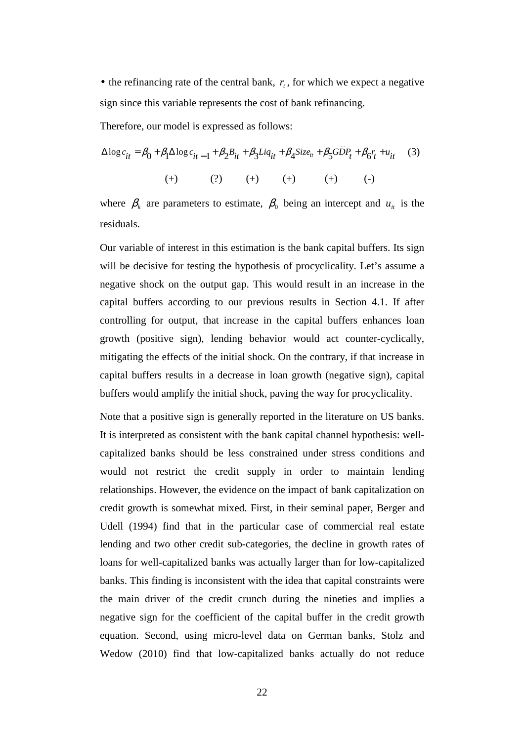• the refinancing rate of the central bank,  $r_t$ , for which we expect a negative sign since this variable represents the cost of bank refinancing.

Therefore, our model is expressed as follows:

$$
\Delta \log c_{it} = \beta_0 + \beta_1 \Delta \log c_{it-1} + \beta_2 B_{it} + \beta_3 Liq_{it} + \beta_4 Size_{it} + \beta_5 GDP_t + \beta_6 r_t + u_{it} \tag{3}
$$
  
(+) 
$$
\text{(+)} \qquad \text{(+)} \qquad \text{(+)} \qquad \text{(+)} \qquad \text{(-)}
$$

(

where  $\beta_k$  are parameters to estimate,  $\beta_0$  being an intercept and  $u_{it}$  is the residuals.

Our variable of interest in this estimation is the bank capital buffers. Its sign will be decisive for testing the hypothesis of procyclicality. Let's assume a negative shock on the output gap. This would result in an increase in the capital buffers according to our previous results in Section 4.1. If after controlling for output, that increase in the capital buffers enhances loan growth (positive sign), lending behavior would act counter-cyclically, mitigating the effects of the initial shock. On the contrary, if that increase in capital buffers results in a decrease in loan growth (negative sign), capital buffers would amplify the initial shock, paving the way for procyclicality.

Note that a positive sign is generally reported in the literature on US banks. It is interpreted as consistent with the bank capital channel hypothesis: wellcapitalized banks should be less constrained under stress conditions and would not restrict the credit supply in order to maintain lending relationships. However, the evidence on the impact of bank capitalization on credit growth is somewhat mixed. First, in their seminal paper, Berger and Udell (1994) find that in the particular case of commercial real estate lending and two other credit sub-categories, the decline in growth rates of loans for well-capitalized banks was actually larger than for low-capitalized banks. This finding is inconsistent with the idea that capital constraints were the main driver of the credit crunch during the nineties and implies a negative sign for the coefficient of the capital buffer in the credit growth equation. Second, using micro-level data on German banks, Stolz and Wedow (2010) find that low-capitalized banks actually do not reduce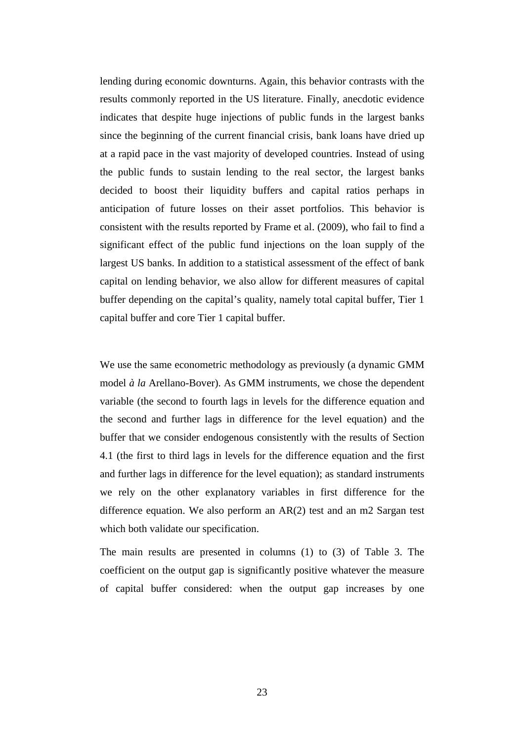lending during economic downturns. Again, this behavior contrasts with the results commonly reported in the US literature. Finally, anecdotic evidence indicates that despite huge injections of public funds in the largest banks since the beginning of the current financial crisis, bank loans have dried up at a rapid pace in the vast majority of developed countries. Instead of using the public funds to sustain lending to the real sector, the largest banks decided to boost their liquidity buffers and capital ratios perhaps in anticipation of future losses on their asset portfolios. This behavior is consistent with the results reported by Frame et al. (2009), who fail to find a significant effect of the public fund injections on the loan supply of the largest US banks. In addition to a statistical assessment of the effect of bank capital on lending behavior, we also allow for different measures of capital buffer depending on the capital's quality, namely total capital buffer, Tier 1 capital buffer and core Tier 1 capital buffer.

We use the same econometric methodology as previously (a dynamic GMM model *à la* Arellano-Bover). As GMM instruments, we chose the dependent variable (the second to fourth lags in levels for the difference equation and the second and further lags in difference for the level equation) and the buffer that we consider endogenous consistently with the results of Section 4.1 (the first to third lags in levels for the difference equation and the first and further lags in difference for the level equation); as standard instruments we rely on the other explanatory variables in first difference for the difference equation. We also perform an AR(2) test and an m2 Sargan test which both validate our specification.

The main results are presented in columns (1) to (3) of Table 3. The coefficient on the output gap is significantly positive whatever the measure of capital buffer considered: when the output gap increases by one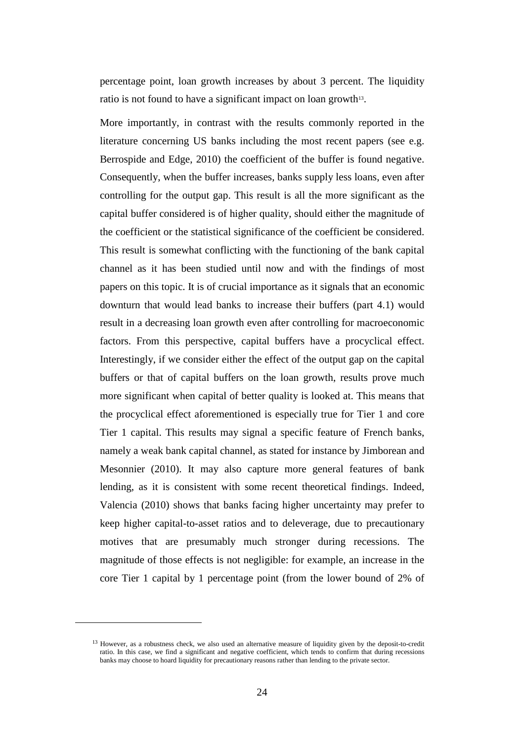percentage point, loan growth increases by about 3 percent. The liquidity ratio is not found to have a significant impact on loan growth<sup>13</sup>.

More importantly, in contrast with the results commonly reported in the literature concerning US banks including the most recent papers (see e.g. Berrospide and Edge, 2010) the coefficient of the buffer is found negative. Consequently, when the buffer increases, banks supply less loans, even after controlling for the output gap. This result is all the more significant as the capital buffer considered is of higher quality, should either the magnitude of the coefficient or the statistical significance of the coefficient be considered. This result is somewhat conflicting with the functioning of the bank capital channel as it has been studied until now and with the findings of most papers on this topic. It is of crucial importance as it signals that an economic downturn that would lead banks to increase their buffers (part 4.1) would result in a decreasing loan growth even after controlling for macroeconomic factors. From this perspective, capital buffers have a procyclical effect. Interestingly, if we consider either the effect of the output gap on the capital buffers or that of capital buffers on the loan growth, results prove much more significant when capital of better quality is looked at. This means that the procyclical effect aforementioned is especially true for Tier 1 and core Tier 1 capital. This results may signal a specific feature of French banks, namely a weak bank capital channel, as stated for instance by Jimborean and Mesonnier (2010). It may also capture more general features of bank lending, as it is consistent with some recent theoretical findings. Indeed, Valencia (2010) shows that banks facing higher uncertainty may prefer to keep higher capital-to-asset ratios and to deleverage, due to precautionary motives that are presumably much stronger during recessions. The magnitude of those effects is not negligible: for example, an increase in the core Tier 1 capital by 1 percentage point (from the lower bound of 2% of

 $\overline{a}$ 

<sup>&</sup>lt;sup>13</sup> However, as a robustness check, we also used an alternative measure of liquidity given by the deposit-to-credit ratio. In this case, we find a significant and negative coefficient, which tends to confirm that during recessions banks may choose to hoard liquidity for precautionary reasons rather than lending to the private sector.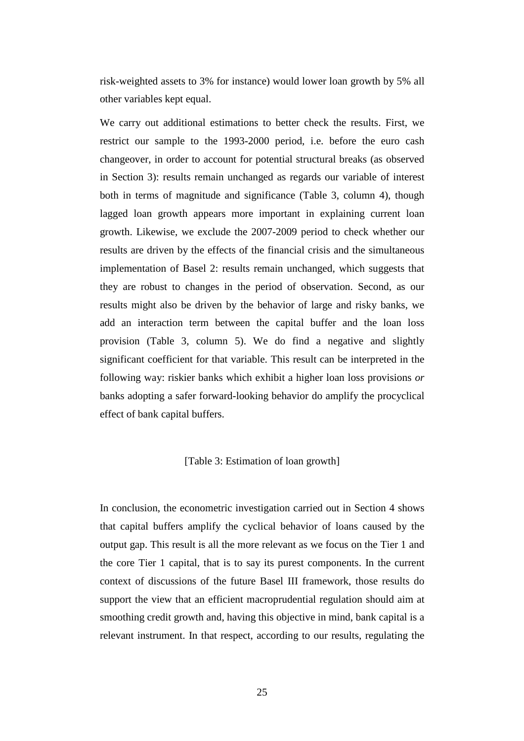risk-weighted assets to 3% for instance) would lower loan growth by 5% all other variables kept equal.

We carry out additional estimations to better check the results. First, we restrict our sample to the 1993-2000 period, i.e. before the euro cash changeover, in order to account for potential structural breaks (as observed in Section 3): results remain unchanged as regards our variable of interest both in terms of magnitude and significance (Table 3, column 4), though lagged loan growth appears more important in explaining current loan growth. Likewise, we exclude the 2007-2009 period to check whether our results are driven by the effects of the financial crisis and the simultaneous implementation of Basel 2: results remain unchanged, which suggests that they are robust to changes in the period of observation. Second, as our results might also be driven by the behavior of large and risky banks, we add an interaction term between the capital buffer and the loan loss provision (Table 3, column 5). We do find a negative and slightly significant coefficient for that variable. This result can be interpreted in the following way: riskier banks which exhibit a higher loan loss provisions *or* banks adopting a safer forward-looking behavior do amplify the procyclical effect of bank capital buffers.

#### [Table 3: Estimation of loan growth]

In conclusion, the econometric investigation carried out in Section 4 shows that capital buffers amplify the cyclical behavior of loans caused by the output gap. This result is all the more relevant as we focus on the Tier 1 and the core Tier 1 capital, that is to say its purest components. In the current context of discussions of the future Basel III framework, those results do support the view that an efficient macroprudential regulation should aim at smoothing credit growth and, having this objective in mind, bank capital is a relevant instrument. In that respect, according to our results, regulating the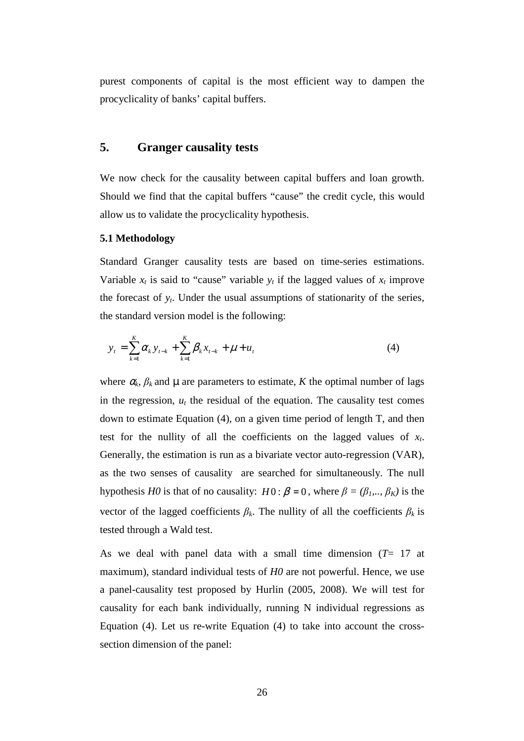purest components of capital is the most efficient way to dampen the procyclicality of banks' capital buffers.

## **5. Granger causality tests**

We now check for the causality between capital buffers and loan growth. Should we find that the capital buffers "cause" the credit cycle, this would allow us to validate the procyclicality hypothesis.

#### **5.1 Methodology**

Standard Granger causality tests are based on time-series estimations. Variable  $x_t$  is said to "cause" variable  $y_t$  if the lagged values of  $x_t$  improve the forecast of  $y_t$ . Under the usual assumptions of stationarity of the series, the standard version model is the following:

$$
y_{t} = \sum_{k=1}^{K} \alpha_{k} y_{t-k} + \sum_{k=1}^{K} \beta_{k} x_{t-k} + \mu + u_{t}
$$
\n(4)

where  $\alpha_k$ ,  $\beta_k$  and  $\mu$  are parameters to estimate, *K* the optimal number of lags in the regression,  $u_t$  the residual of the equation. The causality test comes down to estimate Equation (4), on a given time period of length T, and then test for the nullity of all the coefficients on the lagged values of  $x_t$ . Generally, the estimation is run as a bivariate vector auto-regression (VAR), as the two senses of causality are searched for simultaneously. The null hypothesis *H0* is that of no causality: *H*0:  $\beta = 0$ , where  $\beta = (\beta_1, \dots, \beta_K)$  is the vector of the lagged coefficients  $\beta_k$ . The nullity of all the coefficients  $\beta_k$  is tested through a Wald test.

As we deal with panel data with a small time dimension (*T*= 17 at maximum), standard individual tests of *H0* are not powerful. Hence, we use a panel-causality test proposed by Hurlin (2005, 2008). We will test for causality for each bank individually, running N individual regressions as Equation (4). Let us re-write Equation (4) to take into account the crosssection dimension of the panel: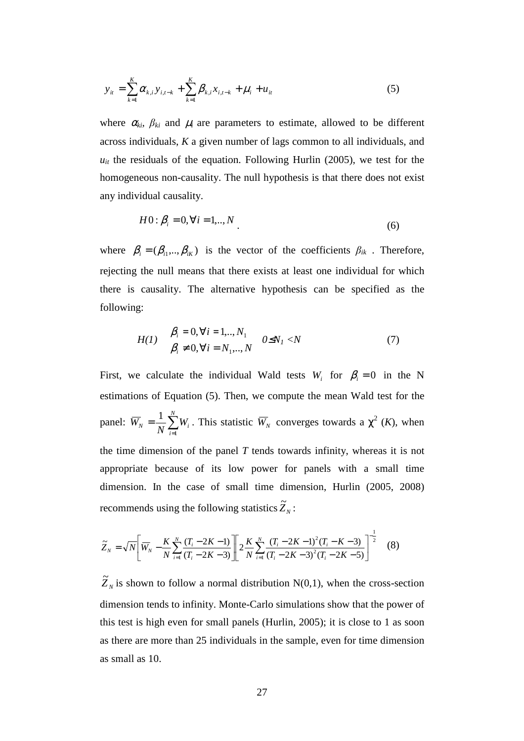$$
y_{it} = \sum_{k=1}^{K} \alpha_{k,i} y_{i,t-k} + \sum_{k=1}^{K} \beta_{k,i} x_{i,t-k} + \mu_i + u_{it}
$$
(5)

where  $\alpha_{ki}$ ,  $\beta_{ki}$  and  $\mu_i$  are parameters to estimate, allowed to be different across individuals, *K* a given number of lags common to all individuals, and  $u<sub>it</sub>$  the residuals of the equation. Following Hurlin (2005), we test for the homogeneous non-causality. The null hypothesis is that there does not exist any individual causality.

$$
H0: \beta_i = 0, \forall i = 1, ..., N
$$
\n(6)

where  $\beta_i = (\beta_{i1}, ..., \beta_{iK})$  is the vector of the coefficients  $\beta_{ik}$ . Therefore, rejecting the null means that there exists at least one individual for which there is causality. The alternative hypothesis can be specified as the following:

$$
H(1) \quad \begin{array}{l} \beta_i = 0, \forall i = 1, ..., N_1 \\ \beta_i \neq 0, \forall i = N_1, ..., N \end{array} \quad 0 \le N_I < N \tag{7}
$$

First, we calculate the individual Wald tests  $W_i$  for  $\beta_i = 0$  in the N estimations of Equation (5). Then, we compute the mean Wald test for the panel:  $\overline{W}_N = \frac{1}{N} \sum_{i=1}^{N}$ = = *N i*  $N_{N} = \frac{1}{N} \sum_{i=1}^{N} W_{i}$ *W* 1  $\frac{1}{N}\sum_{i=1}^{N}W_i$ . This statistic  $\overline{W}_N$  converges towards a  $\chi^2$  (*K*), when the time dimension of the panel *T* tends towards infinity, whereas it is not appropriate because of its low power for panels with a small time dimension. In the case of small time dimension, Hurlin (2005, 2008) recommends using the following statistics  $\widetilde{Z}_N$ :

$$
\widetilde{Z}_N = \sqrt{N} \left[ \overline{W}_N - \frac{K}{N} \sum_{i=1}^N \frac{(T_i - 2K - 1)}{(T_i - 2K - 3)} \right] \left[ 2 \frac{K}{N} \sum_{i=1}^N \frac{(T_i - 2K - 1)^2 (T_i - K - 3)}{(T_i - 2K - 3)^2 (T_i - 2K - 5)} \right]^{-\frac{1}{2}} \tag{8}
$$

 $\widetilde{Z}_N$  is shown to follow a normal distribution N(0,1), when the cross-section dimension tends to infinity. Monte-Carlo simulations show that the power of this test is high even for small panels (Hurlin, 2005); it is close to 1 as soon as there are more than 25 individuals in the sample, even for time dimension as small as 10.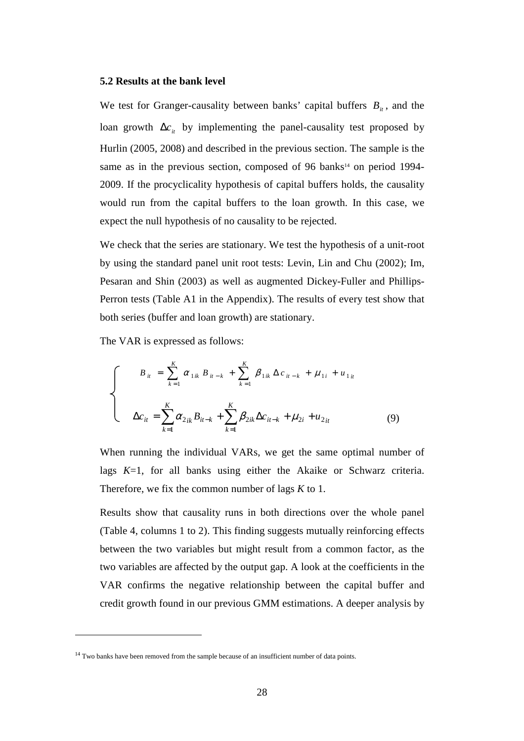#### **5.2 Results at the bank level**

We test for Granger-causality between banks' capital buffers  $B_{it}$ , and the loan growth  $\Delta c_i$  by implementing the panel-causality test proposed by Hurlin (2005, 2008) and described in the previous section. The sample is the same as in the previous section, composed of 96 banks<sup>14</sup> on period 1994-2009. If the procyclicality hypothesis of capital buffers holds, the causality would run from the capital buffers to the loan growth. In this case, we expect the null hypothesis of no causality to be rejected.

We check that the series are stationary. We test the hypothesis of a unit-root by using the standard panel unit root tests: Levin, Lin and Chu (2002); Im, Pesaran and Shin (2003) as well as augmented Dickey-Fuller and Phillips-Perron tests (Table A1 in the Appendix). The results of every test show that both series (buffer and loan growth) are stationary.

The VAR is expressed as follows:

$$
\begin{cases}\nB_{it} = \sum_{k=1}^{K} \alpha_{1ik} B_{it-k} + \sum_{k=1}^{K} \beta_{1ik} \Delta c_{it-k} + \mu_{1i} + \mu_{1it} \\
\Delta c_{it} = \sum_{k=1}^{K} \alpha_{2ik} B_{it-k} + \sum_{k=1}^{K} \beta_{2ik} \Delta c_{it-k} + \mu_{2i} + \mu_{2it}\n\end{cases}
$$
\n(9)

When running the individual VARs, we get the same optimal number of lags *K*=1, for all banks using either the Akaike or Schwarz criteria. Therefore, we fix the common number of lags *K* to 1.

Results show that causality runs in both directions over the whole panel (Table 4, columns 1 to 2). This finding suggests mutually reinforcing effects between the two variables but might result from a common factor, as the two variables are affected by the output gap. A look at the coefficients in the VAR confirms the negative relationship between the capital buffer and credit growth found in our previous GMM estimations. A deeper analysis by

l

<sup>&</sup>lt;sup>14</sup> Two banks have been removed from the sample because of an insufficient number of data points.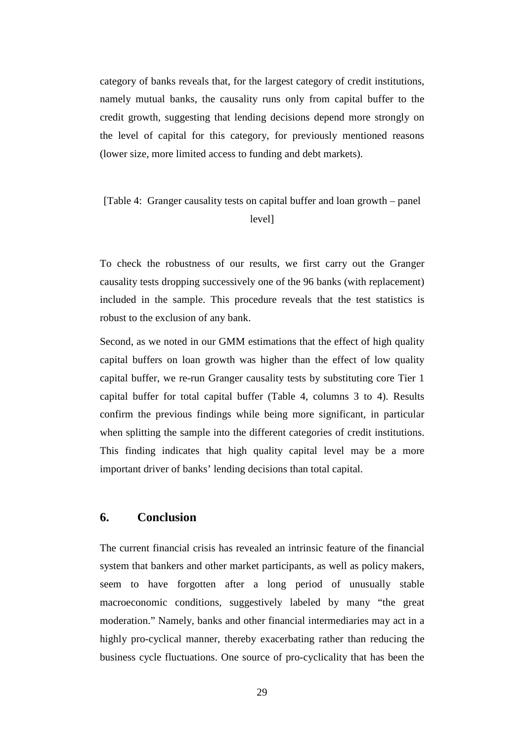category of banks reveals that, for the largest category of credit institutions, namely mutual banks, the causality runs only from capital buffer to the credit growth, suggesting that lending decisions depend more strongly on the level of capital for this category, for previously mentioned reasons (lower size, more limited access to funding and debt markets).

## [Table 4: Granger causality tests on capital buffer and loan growth – panel level]

To check the robustness of our results, we first carry out the Granger causality tests dropping successively one of the 96 banks (with replacement) included in the sample. This procedure reveals that the test statistics is robust to the exclusion of any bank.

Second, as we noted in our GMM estimations that the effect of high quality capital buffers on loan growth was higher than the effect of low quality capital buffer, we re-run Granger causality tests by substituting core Tier 1 capital buffer for total capital buffer (Table 4, columns 3 to 4). Results confirm the previous findings while being more significant, in particular when splitting the sample into the different categories of credit institutions. This finding indicates that high quality capital level may be a more important driver of banks' lending decisions than total capital.

## **6. Conclusion**

The current financial crisis has revealed an intrinsic feature of the financial system that bankers and other market participants, as well as policy makers, seem to have forgotten after a long period of unusually stable macroeconomic conditions, suggestively labeled by many "the great moderation." Namely, banks and other financial intermediaries may act in a highly pro-cyclical manner, thereby exacerbating rather than reducing the business cycle fluctuations. One source of pro-cyclicality that has been the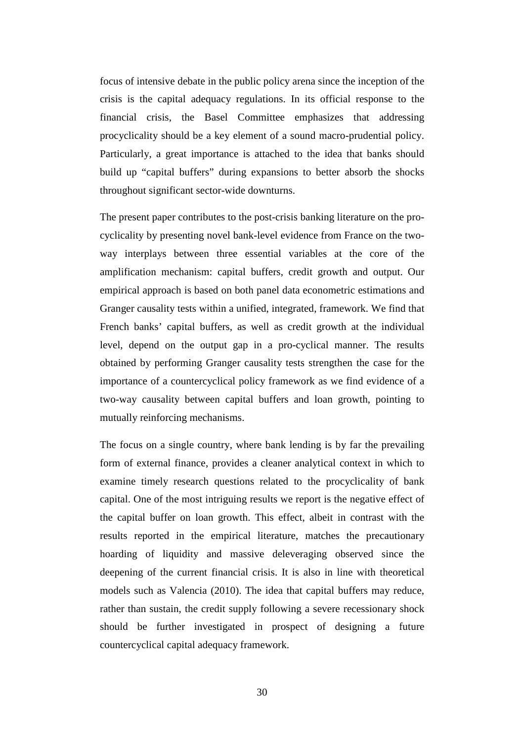focus of intensive debate in the public policy arena since the inception of the crisis is the capital adequacy regulations. In its official response to the financial crisis, the Basel Committee emphasizes that addressing procyclicality should be a key element of a sound macro-prudential policy. Particularly, a great importance is attached to the idea that banks should build up "capital buffers" during expansions to better absorb the shocks throughout significant sector-wide downturns.

The present paper contributes to the post-crisis banking literature on the procyclicality by presenting novel bank-level evidence from France on the twoway interplays between three essential variables at the core of the amplification mechanism: capital buffers, credit growth and output. Our empirical approach is based on both panel data econometric estimations and Granger causality tests within a unified, integrated, framework. We find that French banks' capital buffers, as well as credit growth at the individual level, depend on the output gap in a pro-cyclical manner. The results obtained by performing Granger causality tests strengthen the case for the importance of a countercyclical policy framework as we find evidence of a two-way causality between capital buffers and loan growth, pointing to mutually reinforcing mechanisms.

The focus on a single country, where bank lending is by far the prevailing form of external finance, provides a cleaner analytical context in which to examine timely research questions related to the procyclicality of bank capital. One of the most intriguing results we report is the negative effect of the capital buffer on loan growth. This effect, albeit in contrast with the results reported in the empirical literature, matches the precautionary hoarding of liquidity and massive deleveraging observed since the deepening of the current financial crisis. It is also in line with theoretical models such as Valencia (2010). The idea that capital buffers may reduce, rather than sustain, the credit supply following a severe recessionary shock should be further investigated in prospect of designing a future countercyclical capital adequacy framework.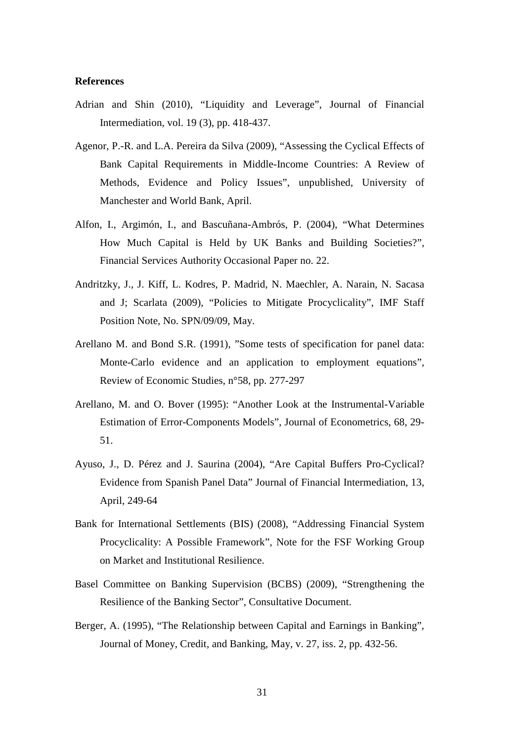#### **References**

- Adrian and Shin (2010), "Liquidity and Leverage", Journal of Financial Intermediation, vol. 19 (3), pp. 418-437.
- Agenor, P.-R. and L.A. Pereira da Silva (2009), "Assessing the Cyclical Effects of Bank Capital Requirements in Middle-Income Countries: A Review of Methods, Evidence and Policy Issues", unpublished, University of Manchester and World Bank, April.
- Alfon, I., Argimón, I., and Bascuñana-Ambrós, P. (2004), "What Determines How Much Capital is Held by UK Banks and Building Societies?", Financial Services Authority Occasional Paper no. 22.
- Andritzky, J., J. Kiff, L. Kodres, P. Madrid, N. Maechler, A. Narain, N. Sacasa and J; Scarlata (2009), "Policies to Mitigate Procyclicality", IMF Staff Position Note, No. SPN/09/09, May.
- Arellano M. and Bond S.R. (1991), "Some tests of specification for panel data: Monte-Carlo evidence and an application to employment equations", Review of Economic Studies, n°58, pp. 277-297
- Arellano, M. and O. Bover (1995): "Another Look at the Instrumental-Variable Estimation of Error-Components Models", Journal of Econometrics, 68, 29- 51.
- Ayuso, J., D. Pérez and J. Saurina (2004), "Are Capital Buffers Pro-Cyclical? Evidence from Spanish Panel Data" Journal of Financial Intermediation, 13, April, 249-64
- Bank for International Settlements (BIS) (2008), "Addressing Financial System Procyclicality: A Possible Framework", Note for the FSF Working Group on Market and Institutional Resilience.
- Basel Committee on Banking Supervision (BCBS) (2009), "Strengthening the Resilience of the Banking Sector", Consultative Document.
- Berger, A. (1995), "The Relationship between Capital and Earnings in Banking", Journal of Money, Credit, and Banking, May, v. 27, iss. 2, pp. 432-56.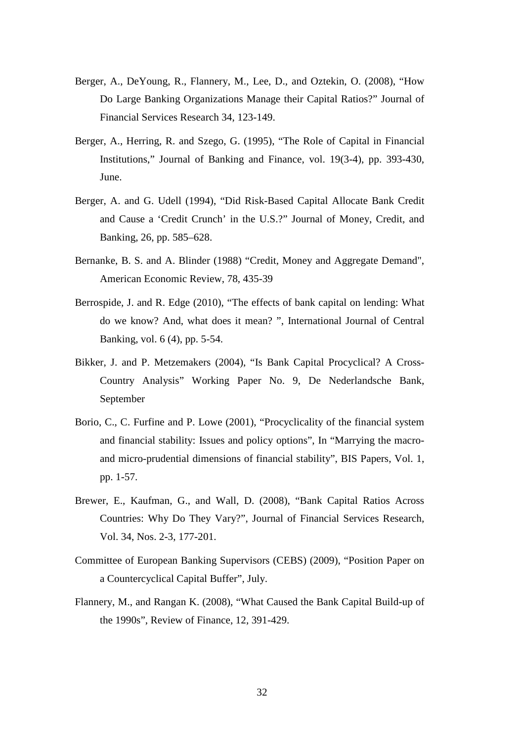- Berger, A., DeYoung, R., Flannery, M., Lee, D., and Oztekin, O. (2008), "How Do Large Banking Organizations Manage their Capital Ratios?" Journal of Financial Services Research 34, 123-149.
- Berger, A., Herring, R. and Szego, G. (1995), "The Role of Capital in Financial Institutions," Journal of Banking and Finance, vol. 19(3-4), pp. 393-430, June.
- Berger, A. and G. Udell (1994), "Did Risk-Based Capital Allocate Bank Credit and Cause a 'Credit Crunch' in the U.S.?" Journal of Money, Credit, and Banking, 26, pp. 585–628.
- Bernanke, B. S. and A. Blinder (1988) "Credit, Money and Aggregate Demand", American Economic Review, 78, 435-39
- Berrospide, J. and R. Edge (2010), "The effects of bank capital on lending: What do we know? And, what does it mean? ", International Journal of Central Banking, vol. 6 (4), pp. 5-54.
- Bikker, J. and P. Metzemakers (2004), "Is Bank Capital Procyclical? A Cross-Country Analysis" Working Paper No. 9, De Nederlandsche Bank, September
- Borio, C., C. Furfine and P. Lowe (2001), "Procyclicality of the financial system and financial stability: Issues and policy options", In "Marrying the macroand micro-prudential dimensions of financial stability", BIS Papers, Vol. 1, pp. 1-57.
- Brewer, E., Kaufman, G., and Wall, D. (2008), "Bank Capital Ratios Across Countries: Why Do They Vary?", Journal of Financial Services Research, Vol. 34, Nos. 2-3, 177-201.
- Committee of European Banking Supervisors (CEBS) (2009), "Position Paper on a Countercyclical Capital Buffer", July.
- Flannery, M., and Rangan K. (2008), "What Caused the Bank Capital Build-up of the 1990s", Review of Finance, 12, 391-429.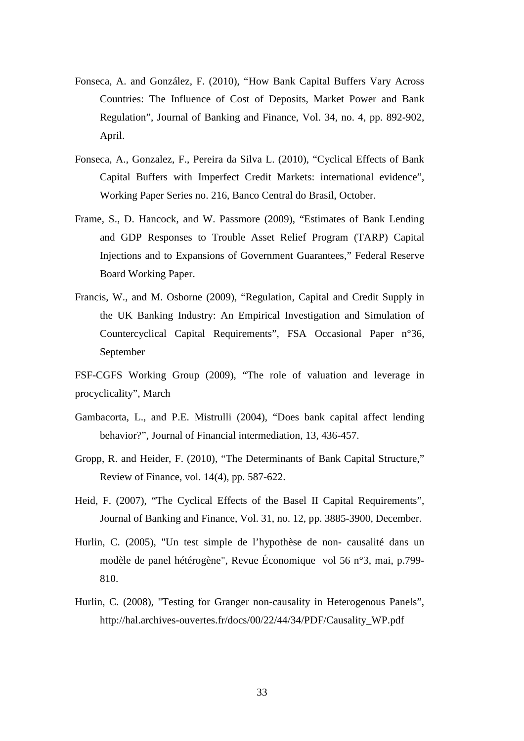- Fonseca, A. and González, F. (2010), "How Bank Capital Buffers Vary Across Countries: The Influence of Cost of Deposits, Market Power and Bank Regulation", Journal of Banking and Finance, Vol. 34, no. 4, pp. 892-902, April.
- Fonseca, A., Gonzalez, F., Pereira da Silva L. (2010), "Cyclical Effects of Bank Capital Buffers with Imperfect Credit Markets: international evidence", Working Paper Series no. 216, Banco Central do Brasil, October.
- Frame, S., D. Hancock, and W. Passmore (2009), "Estimates of Bank Lending and GDP Responses to Trouble Asset Relief Program (TARP) Capital Injections and to Expansions of Government Guarantees," Federal Reserve Board Working Paper.
- Francis, W., and M. Osborne (2009), "Regulation, Capital and Credit Supply in the UK Banking Industry: An Empirical Investigation and Simulation of Countercyclical Capital Requirements", FSA Occasional Paper n°36, September
- FSF-CGFS Working Group (2009), "The role of valuation and leverage in procyclicality", March
- Gambacorta, L., and P.E. Mistrulli (2004), "Does bank capital affect lending behavior?", Journal of Financial intermediation, 13, 436-457.
- Gropp, R. and Heider, F. (2010), "The Determinants of Bank Capital Structure," Review of Finance, vol. 14(4), pp. 587-622.
- Heid, F. (2007), "The Cyclical Effects of the Basel II Capital Requirements", Journal of Banking and Finance, Vol. 31, no. 12, pp. 3885-3900, December.
- Hurlin, C. (2005), "Un test simple de l'hypothèse de non- causalité dans un modèle de panel hétérogène", Revue Économique vol 56 n°3, mai, p.799- 810.
- Hurlin, C. (2008), "Testing for Granger non-causality in Heterogenous Panels", http://hal.archives-ouvertes.fr/docs/00/22/44/34/PDF/Causality\_WP.pdf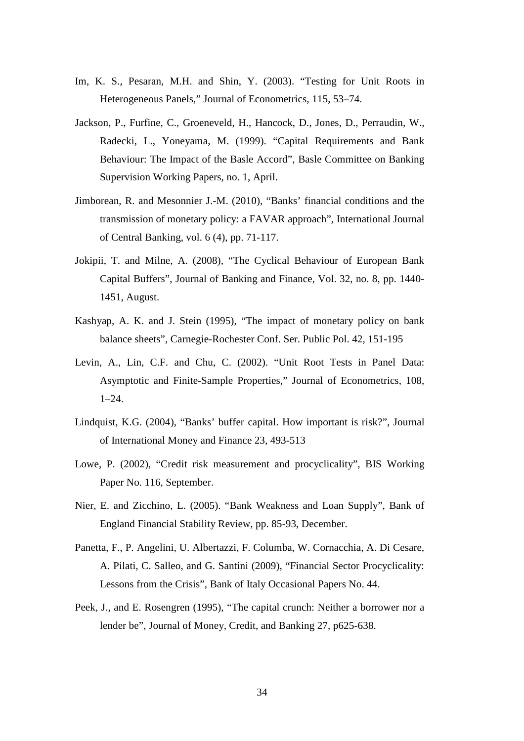- Im, K. S., Pesaran, M.H. and Shin, Y. (2003). "Testing for Unit Roots in Heterogeneous Panels," Journal of Econometrics, 115, 53–74.
- Jackson, P., Furfine, C., Groeneveld, H., Hancock, D., Jones, D., Perraudin, W., Radecki, L., Yoneyama, M. (1999). "Capital Requirements and Bank Behaviour: The Impact of the Basle Accord", Basle Committee on Banking Supervision Working Papers, no. 1, April.
- Jimborean, R. and Mesonnier J.-M. (2010), "Banks' financial conditions and the transmission of monetary policy: a FAVAR approach", International Journal of Central Banking, vol. 6 (4), pp. 71-117.
- Jokipii, T. and Milne, A. (2008), "The Cyclical Behaviour of European Bank Capital Buffers", Journal of Banking and Finance, Vol. 32, no. 8, pp. 1440- 1451, August.
- Kashyap, A. K. and J. Stein (1995), "The impact of monetary policy on bank balance sheets", Carnegie-Rochester Conf. Ser. Public Pol. 42, 151-195
- Levin, A., Lin, C.F. and Chu, C. (2002). "Unit Root Tests in Panel Data: Asymptotic and Finite-Sample Properties," Journal of Econometrics, 108, 1–24.
- Lindquist, K.G. (2004), "Banks' buffer capital. How important is risk?", Journal of International Money and Finance 23, 493-513
- Lowe, P. (2002), "Credit risk measurement and procyclicality", BIS Working Paper No. 116, September.
- Nier, E. and Zicchino, L. (2005). "Bank Weakness and Loan Supply", Bank of England Financial Stability Review, pp. 85-93, December.
- Panetta, F., P. Angelini, U. Albertazzi, F. Columba, W. Cornacchia, A. Di Cesare, A. Pilati, C. Salleo, and G. Santini (2009), "Financial Sector Procyclicality: Lessons from the Crisis", Bank of Italy Occasional Papers No. 44.
- Peek, J., and E. Rosengren (1995), "The capital crunch: Neither a borrower nor a lender be", Journal of Money, Credit, and Banking 27, p625-638.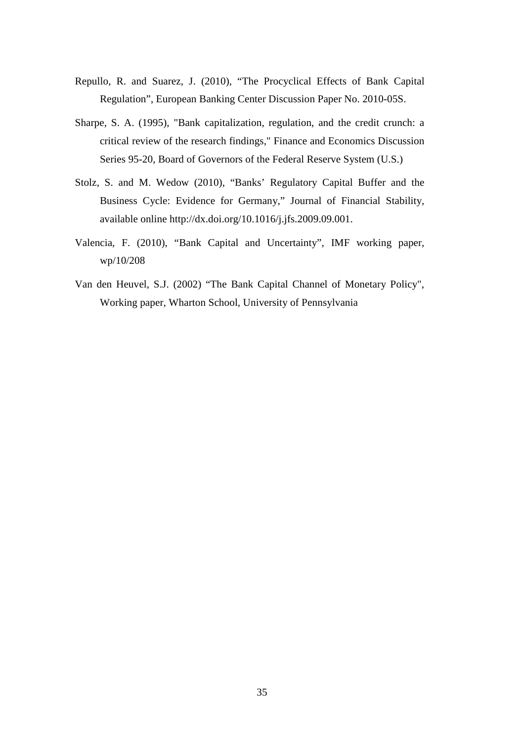- Repullo, R. and Suarez, J. (2010), "The Procyclical Effects of Bank Capital Regulation", European Banking Center Discussion Paper No. 2010-05S.
- Sharpe, S. A. (1995), "Bank capitalization, regulation, and the credit crunch: a critical review of the research findings," Finance and Economics Discussion Series 95-20, Board of Governors of the Federal Reserve System (U.S.)
- Stolz, S. and M. Wedow (2010), "Banks' Regulatory Capital Buffer and the Business Cycle: Evidence for Germany," Journal of Financial Stability, available online http://dx.doi.org/10.1016/j.jfs.2009.09.001.
- Valencia, F. (2010), "Bank Capital and Uncertainty", IMF working paper, wp/10/208
- Van den Heuvel, S.J. (2002) "The Bank Capital Channel of Monetary Policy", Working paper, Wharton School, University of Pennsylvania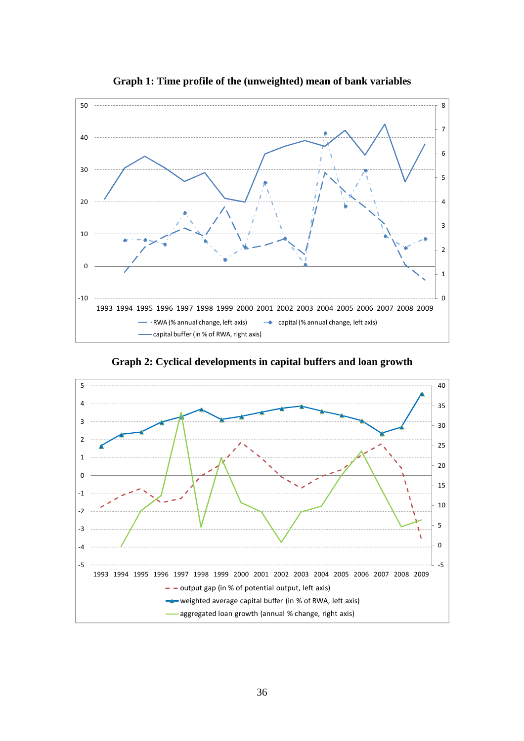

**Graph 1: Time profile of the (unweighted) mean of bank variables** 

**Graph 2: Cyclical developments in capital buffers and loan growth** 

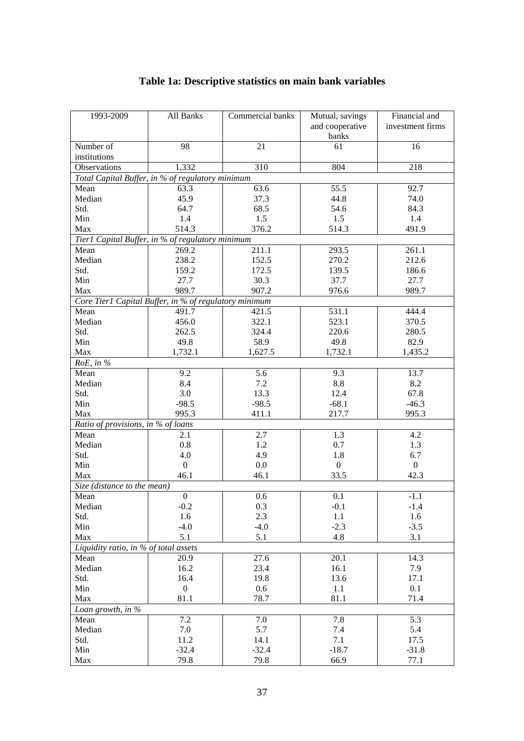| Number of<br>21<br>98<br>61<br>16<br>institutions<br>1,332<br>310<br>804<br>218<br>Observations<br>Total Capital Buffer, in % of regulatory minimum<br>55.5<br>92.7<br>Mean<br>63.3<br>63.6<br>45.9<br>37.3<br>Median<br>44.8<br>74.0<br>64.7<br>Std.<br>68.5<br>54.6<br>84.3<br>Min<br>1.4<br>1.5<br>1.5<br>1.4<br>Max<br>514.3<br>376.2<br>514.3<br>491.9<br>Tier1 Capital Buffer, in % of regulatory minimum<br>269.2<br>211.1<br>293.5<br>Mean<br>261.1<br>238.2<br>Median<br>152.5<br>270.2<br>212.6<br>Std.<br>159.2<br>172.5<br>139.5<br>186.6<br>27.7<br>Min<br>30.3<br>37.7<br>27.7<br>Max<br>989.7<br>907.2<br>976.6<br>989.7 | 1993-2009 | All Banks | Commercial banks<br>Mutual, savings<br>and cooperative<br>banks |  | Financial and<br>investment firms |
|-----------------------------------------------------------------------------------------------------------------------------------------------------------------------------------------------------------------------------------------------------------------------------------------------------------------------------------------------------------------------------------------------------------------------------------------------------------------------------------------------------------------------------------------------------------------------------------------------------------------------------------------|-----------|-----------|-----------------------------------------------------------------|--|-----------------------------------|
|                                                                                                                                                                                                                                                                                                                                                                                                                                                                                                                                                                                                                                         |           |           |                                                                 |  |                                   |
|                                                                                                                                                                                                                                                                                                                                                                                                                                                                                                                                                                                                                                         |           |           |                                                                 |  |                                   |
|                                                                                                                                                                                                                                                                                                                                                                                                                                                                                                                                                                                                                                         |           |           |                                                                 |  |                                   |
|                                                                                                                                                                                                                                                                                                                                                                                                                                                                                                                                                                                                                                         |           |           |                                                                 |  |                                   |
|                                                                                                                                                                                                                                                                                                                                                                                                                                                                                                                                                                                                                                         |           |           |                                                                 |  |                                   |
|                                                                                                                                                                                                                                                                                                                                                                                                                                                                                                                                                                                                                                         |           |           |                                                                 |  |                                   |
|                                                                                                                                                                                                                                                                                                                                                                                                                                                                                                                                                                                                                                         |           |           |                                                                 |  |                                   |
|                                                                                                                                                                                                                                                                                                                                                                                                                                                                                                                                                                                                                                         |           |           |                                                                 |  |                                   |
|                                                                                                                                                                                                                                                                                                                                                                                                                                                                                                                                                                                                                                         |           |           |                                                                 |  |                                   |
|                                                                                                                                                                                                                                                                                                                                                                                                                                                                                                                                                                                                                                         |           |           |                                                                 |  |                                   |
|                                                                                                                                                                                                                                                                                                                                                                                                                                                                                                                                                                                                                                         |           |           |                                                                 |  |                                   |
|                                                                                                                                                                                                                                                                                                                                                                                                                                                                                                                                                                                                                                         |           |           |                                                                 |  |                                   |
|                                                                                                                                                                                                                                                                                                                                                                                                                                                                                                                                                                                                                                         |           |           |                                                                 |  |                                   |
|                                                                                                                                                                                                                                                                                                                                                                                                                                                                                                                                                                                                                                         |           |           |                                                                 |  |                                   |
| Core Tier1 Capital Buffer, in % of regulatory minimum                                                                                                                                                                                                                                                                                                                                                                                                                                                                                                                                                                                   |           |           |                                                                 |  |                                   |
| 531.1<br>444.4<br>491.7<br>Mean<br>421.5                                                                                                                                                                                                                                                                                                                                                                                                                                                                                                                                                                                                |           |           |                                                                 |  |                                   |
| 523.1<br>Median<br>456.0<br>322.1<br>370.5                                                                                                                                                                                                                                                                                                                                                                                                                                                                                                                                                                                              |           |           |                                                                 |  |                                   |
| 220.6<br>Std.<br>262.5<br>324.4<br>280.5                                                                                                                                                                                                                                                                                                                                                                                                                                                                                                                                                                                                |           |           |                                                                 |  |                                   |
| 58.9<br>Min<br>49.8<br>49.8<br>82.9                                                                                                                                                                                                                                                                                                                                                                                                                                                                                                                                                                                                     |           |           |                                                                 |  |                                   |
| Max<br>1,732.1<br>1,627.5<br>1,732.1<br>1,435.2                                                                                                                                                                                                                                                                                                                                                                                                                                                                                                                                                                                         |           |           |                                                                 |  |                                   |
| RoE, in %                                                                                                                                                                                                                                                                                                                                                                                                                                                                                                                                                                                                                               |           |           |                                                                 |  |                                   |
| 9.2<br>$\overline{5.6}$<br>9.3<br>Mean<br>13.7                                                                                                                                                                                                                                                                                                                                                                                                                                                                                                                                                                                          |           |           |                                                                 |  |                                   |
| 8.4<br>7.2<br>$8.8\,$<br>8.2<br>Median                                                                                                                                                                                                                                                                                                                                                                                                                                                                                                                                                                                                  |           |           |                                                                 |  |                                   |
| Std.<br>3.0<br>13.3<br>12.4<br>67.8                                                                                                                                                                                                                                                                                                                                                                                                                                                                                                                                                                                                     |           |           |                                                                 |  |                                   |
| $-98.5$<br>Min<br>$-98.5$<br>$-68.1$<br>$-46.3$                                                                                                                                                                                                                                                                                                                                                                                                                                                                                                                                                                                         |           |           |                                                                 |  |                                   |
| Max<br>995.3<br>411.1<br>217.7<br>995.3                                                                                                                                                                                                                                                                                                                                                                                                                                                                                                                                                                                                 |           |           |                                                                 |  |                                   |
| Ratio of provisions, in % of loans                                                                                                                                                                                                                                                                                                                                                                                                                                                                                                                                                                                                      |           |           |                                                                 |  |                                   |
| 2.7<br>Mean<br>2.1<br>1.3<br>4.2                                                                                                                                                                                                                                                                                                                                                                                                                                                                                                                                                                                                        |           |           |                                                                 |  |                                   |
| Median<br>0.8<br>1.2<br>0.7<br>1.3                                                                                                                                                                                                                                                                                                                                                                                                                                                                                                                                                                                                      |           |           |                                                                 |  |                                   |
| 4.9<br>Std.<br>4.0<br>1.8<br>6.7                                                                                                                                                                                                                                                                                                                                                                                                                                                                                                                                                                                                        |           |           |                                                                 |  |                                   |
| $\overline{0}$<br>Min<br>$\boldsymbol{0}$<br>0.0<br>$\boldsymbol{0}$                                                                                                                                                                                                                                                                                                                                                                                                                                                                                                                                                                    |           |           |                                                                 |  |                                   |
| 33.5<br>42.3<br>Max<br>46.1<br>46.1                                                                                                                                                                                                                                                                                                                                                                                                                                                                                                                                                                                                     |           |           |                                                                 |  |                                   |
| Size (distance to the mean)                                                                                                                                                                                                                                                                                                                                                                                                                                                                                                                                                                                                             |           |           |                                                                 |  |                                   |
| 0.6<br>0.1<br>$-1.1$<br>$\boldsymbol{0}$<br>Mean                                                                                                                                                                                                                                                                                                                                                                                                                                                                                                                                                                                        |           |           |                                                                 |  |                                   |
| Median<br>$-0.2$<br>0.3<br>$-0.1$<br>$-1.4$                                                                                                                                                                                                                                                                                                                                                                                                                                                                                                                                                                                             |           |           |                                                                 |  |                                   |
| 1.6<br>2.3<br>1.1<br>1.6<br>Std.                                                                                                                                                                                                                                                                                                                                                                                                                                                                                                                                                                                                        |           |           |                                                                 |  |                                   |
| $-4.0$<br>$-4.0$<br>$-2.3$<br>$-3.5$<br>Min                                                                                                                                                                                                                                                                                                                                                                                                                                                                                                                                                                                             |           |           |                                                                 |  |                                   |
| 5.1<br>5.1<br>4.8<br>3.1<br>Max                                                                                                                                                                                                                                                                                                                                                                                                                                                                                                                                                                                                         |           |           |                                                                 |  |                                   |
| Liquidity ratio, in % of total assets                                                                                                                                                                                                                                                                                                                                                                                                                                                                                                                                                                                                   |           |           |                                                                 |  |                                   |
| 20.9<br>20.1<br>14.3<br>Mean<br>27.6                                                                                                                                                                                                                                                                                                                                                                                                                                                                                                                                                                                                    |           |           |                                                                 |  |                                   |
| Median<br>16.2<br>23.4<br>16.1<br>7.9                                                                                                                                                                                                                                                                                                                                                                                                                                                                                                                                                                                                   |           |           |                                                                 |  |                                   |
| Std.<br>16.4<br>19.8<br>13.6<br>17.1                                                                                                                                                                                                                                                                                                                                                                                                                                                                                                                                                                                                    |           |           |                                                                 |  |                                   |
| 0.1<br>Min<br>0.6<br>1.1<br>$\overline{0}$<br>81.1<br>78.7<br>81.1<br>71.4                                                                                                                                                                                                                                                                                                                                                                                                                                                                                                                                                              |           |           |                                                                 |  |                                   |
| Max<br>Loan growth, in %                                                                                                                                                                                                                                                                                                                                                                                                                                                                                                                                                                                                                |           |           |                                                                 |  |                                   |
| $\overline{7.2}$<br>$\overline{5.3}$<br>7.0<br>7.8                                                                                                                                                                                                                                                                                                                                                                                                                                                                                                                                                                                      |           |           |                                                                 |  |                                   |
| Mean<br>5.7<br>5.4<br>7.0<br>7.4<br>Median                                                                                                                                                                                                                                                                                                                                                                                                                                                                                                                                                                                              |           |           |                                                                 |  |                                   |
| Std.<br>11.2<br>14.1<br>7.1<br>17.5                                                                                                                                                                                                                                                                                                                                                                                                                                                                                                                                                                                                     |           |           |                                                                 |  |                                   |
| Min<br>$-32.4$<br>$-32.4$<br>$-18.7$<br>$-31.8$                                                                                                                                                                                                                                                                                                                                                                                                                                                                                                                                                                                         |           |           |                                                                 |  |                                   |
| Max<br>79.8<br>79.8<br>66.9<br>77.1                                                                                                                                                                                                                                                                                                                                                                                                                                                                                                                                                                                                     |           |           |                                                                 |  |                                   |

# **Table 1a: Descriptive statistics on main bank variables**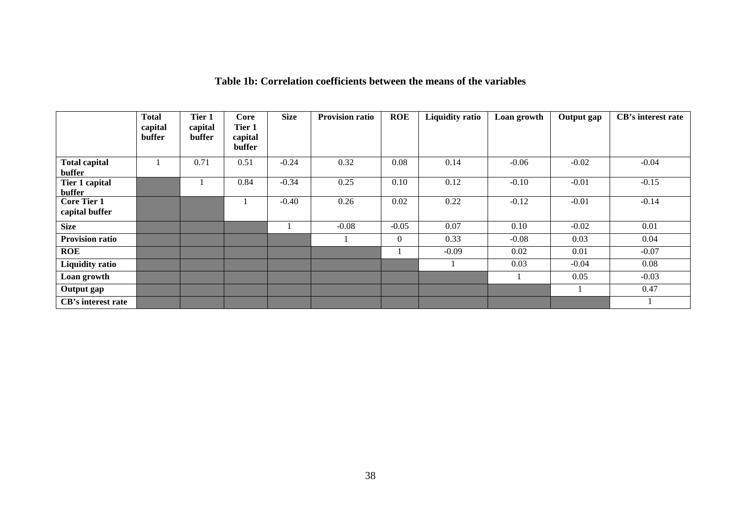|                                      | <b>Total</b><br>capital<br>buffer | Tier 1<br>capital<br>buffer | <b>Core</b><br>Tier 1<br>capital<br>buffer | <b>Size</b> | <b>Provision ratio</b> | <b>ROE</b>   | <b>Liquidity ratio</b> | Loan growth | Output gap | CB's interest rate |
|--------------------------------------|-----------------------------------|-----------------------------|--------------------------------------------|-------------|------------------------|--------------|------------------------|-------------|------------|--------------------|
| <b>Total capital</b><br>buffer       |                                   | 0.71                        | 0.51                                       | $-0.24$     | 0.32                   | 0.08         | 0.14                   | $-0.06$     | $-0.02$    | $-0.04$            |
| Tier 1 capital<br>buffer             |                                   |                             | 0.84                                       | $-0.34$     | 0.25                   | 0.10         | 0.12                   | $-0.10$     | $-0.01$    | $-0.15$            |
| <b>Core Tier 1</b><br>capital buffer |                                   |                             |                                            | $-0.40$     | 0.26                   | 0.02         | 0.22                   | $-0.12$     | $-0.01$    | $-0.14$            |
| <b>Size</b>                          |                                   |                             |                                            |             | $-0.08$                | $-0.05$      | 0.07                   | 0.10        | $-0.02$    | 0.01               |
| <b>Provision ratio</b>               |                                   |                             |                                            |             |                        | $\mathbf{0}$ | 0.33                   | $-0.08$     | 0.03       | 0.04               |
| <b>ROE</b>                           |                                   |                             |                                            |             |                        |              | $-0.09$                | 0.02        | 0.01       | $-0.07$            |
| <b>Liquidity ratio</b>               |                                   |                             |                                            |             |                        |              |                        | 0.03        | $-0.04$    | 0.08               |
| Loan growth                          |                                   |                             |                                            |             |                        |              |                        |             | 0.05       | $-0.03$            |
| Output gap                           |                                   |                             |                                            |             |                        |              |                        |             |            | 0.47               |
| CB's interest rate                   |                                   |                             |                                            |             |                        |              |                        |             |            |                    |

## **Table 1b: Correlation coefficients between the means of the variables**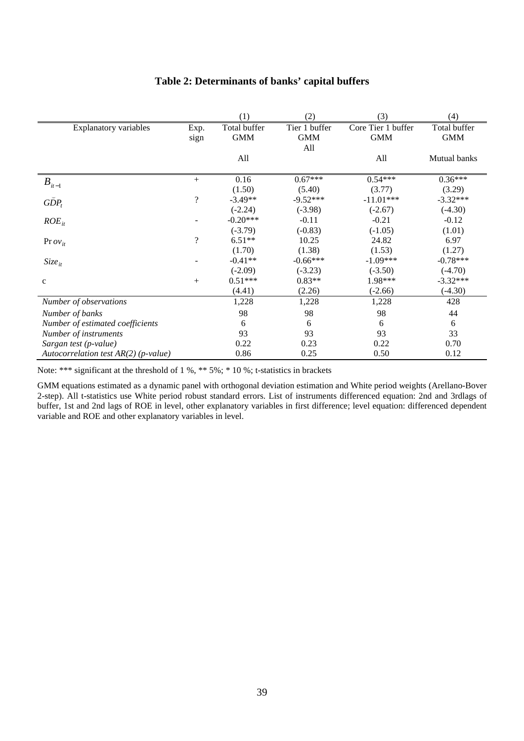|                                        |                          | (1)          | (2)           | (3)                | (4)          |
|----------------------------------------|--------------------------|--------------|---------------|--------------------|--------------|
| <b>Explanatory variables</b>           | Exp.                     | Total buffer | Tier 1 buffer | Core Tier 1 buffer | Total buffer |
|                                        | sign                     | <b>GMM</b>   | <b>GMM</b>    | <b>GMM</b>         | <b>GMM</b>   |
|                                        |                          |              | All           |                    |              |
|                                        |                          | All          |               | All                | Mutual banks |
|                                        | $+$                      | 0.16         | $0.67***$     | $0.54***$          | $0.36***$    |
| $B_{it-1}$                             |                          | (1.50)       | (5.40)        | (3.77)             | (3.29)       |
| $G\check{D}P_t$                        | $\overline{\mathcal{L}}$ | $-3.49**$    | $-9.52***$    | $-11.01***$        | $-3.32***$   |
|                                        |                          | $(-2.24)$    | $(-3.98)$     | $(-2.67)$          | $(-4.30)$    |
| $ROE_{it}$                             |                          | $-0.20***$   | $-0.11$       | $-0.21$            | $-0.12$      |
|                                        |                          | $(-3.79)$    | $(-0.83)$     | $(-1.05)$          | (1.01)       |
| Pr $ov_{it}$                           | $\overline{\mathcal{L}}$ | $6.51**$     | 10.25         | 24.82              | 6.97         |
|                                        |                          | (1.70)       | (1.38)        | (1.53)             | (1.27)       |
| $Size_{it}$                            |                          | $-0.41**$    | $-0.66***$    | $-1.09***$         | $-0.78***$   |
|                                        |                          | $(-2.09)$    | $(-3.23)$     | $(-3.50)$          | $(-4.70)$    |
| $\mathbf c$                            | $+$                      | $0.51***$    | $0.83**$      | 1.98***            | $-3.32***$   |
|                                        |                          | (4.41)       | (2.26)        | $(-2.66)$          | $(-4.30)$    |
| Number of observations                 |                          | 1,228        | 1,228         | 1,228              | 428          |
| Number of banks                        |                          | 98           | 98            | 98                 | 44           |
| Number of estimated coefficients       |                          | 6            | 6             | 6                  | 6            |
| Number of instruments                  |                          | 93           | 93            | 93                 | 33           |
| Sargan test (p-value)                  |                          | 0.22         | 0.23          | 0.22               | 0.70         |
| Autocorrelation test $AR(2)$ (p-value) |                          | 0.86         | 0.25          | 0.50               | 0.12         |

#### **Table 2: Determinants of banks' capital buffers**

Note: \*\*\* significant at the threshold of 1 %, \*\* 5%; \* 10 %; t-statistics in brackets

GMM equations estimated as a dynamic panel with orthogonal deviation estimation and White period weights (Arellano-Bover 2-step). All t-statistics use White period robust standard errors. List of instruments differenced equation: 2nd and 3rdlags of buffer, 1st and 2nd lags of ROE in level, other explanatory variables in first difference; level equation: differenced dependent variable and ROE and other explanatory variables in level.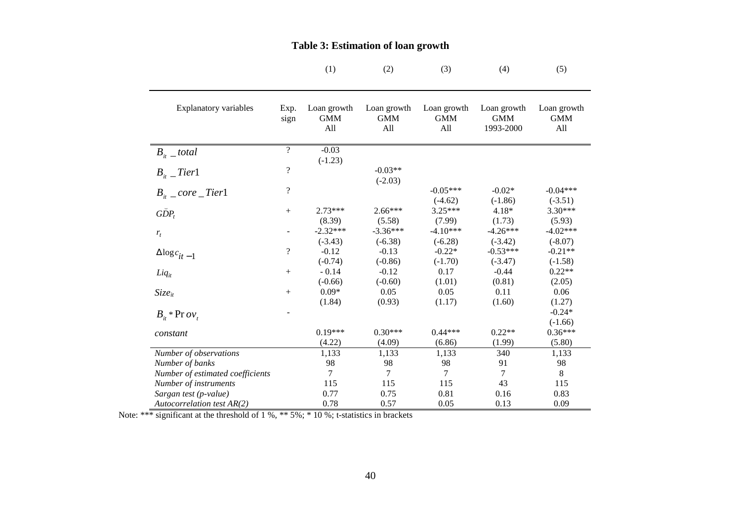|                                  |                          | (1)                              | (2)                              | (3)                              | (4)                                    | (5)                              |
|----------------------------------|--------------------------|----------------------------------|----------------------------------|----------------------------------|----------------------------------------|----------------------------------|
|                                  |                          |                                  |                                  |                                  |                                        |                                  |
| <b>Explanatory variables</b>     | Exp.<br>sign             | Loan growth<br><b>GMM</b><br>All | Loan growth<br><b>GMM</b><br>All | Loan growth<br><b>GMM</b><br>All | Loan growth<br><b>GMM</b><br>1993-2000 | Loan growth<br><b>GMM</b><br>All |
| $B_{ii}$ _ total                 | $\overline{?}$           | $-0.03$<br>$(-1.23)$             |                                  |                                  |                                        |                                  |
| $B_{ii}$ _Tier1                  | $\overline{\mathcal{L}}$ |                                  | $-0.03**$<br>$(-2.03)$           |                                  |                                        |                                  |
| $B_{it}$ _ core _Tier1           | $\overline{\mathcal{L}}$ |                                  |                                  | $-0.05***$<br>$(-4.62)$          | $-0.02*$<br>$(-1.86)$                  | $-0.04***$<br>$(-3.51)$          |
| $G\check{D}P_t$                  | $+$                      | $2.73***$<br>(8.39)              | $2.66***$<br>(5.58)              | $3.25***$<br>(7.99)              | $4.18*$<br>(1.73)                      | $3.30***$<br>(5.93)              |
| $r_t$                            |                          | $-2.32***$<br>$(-3.43)$          | $-3.36***$<br>$(-6.38)$          | $-4.10***$<br>$(-6.28)$          | $-4.26***$<br>$(-3.42)$                | $-4.02***$<br>$(-8.07)$          |
| $\Delta{{\log}c}_{it-1}$         | $\overline{\mathcal{L}}$ | $-0.12$<br>$(-0.74)$             | $-0.13$<br>$(-0.86)$             | $-0.22*$<br>$(-1.70)$            | $-0.53***$<br>$(-3.47)$                | $-0.21**$<br>$(-1.58)$           |
| $Liq_{it}$                       | $+$                      | $-0.14$<br>$(-0.66)$             | $-0.12$<br>$(-0.60)$             | 0.17<br>(1.01)                   | $-0.44$<br>(0.81)                      | $0.22**$<br>(2.05)               |
| $Size_{it}$                      | $+$                      | $0.09*$<br>(1.84)                | 0.05<br>(0.93)                   | 0.05<br>(1.17)                   | 0.11<br>(1.60)                         | 0.06<br>(1.27)                   |
| $B_{it}$ * Pr $ov_t$             |                          |                                  |                                  |                                  |                                        | $-0.24*$<br>$(-1.66)$            |
| constant                         |                          | $0.19***$<br>(4.22)              | $0.30***$<br>(4.09)              | $0.44***$<br>(6.86)              | $0.22**$<br>(1.99)                     | $0.36***$<br>(5.80)              |
| Number of observations           |                          | 1,133                            | 1,133                            | 1,133                            | 340                                    | 1,133                            |
| Number of banks                  |                          | 98                               | 98                               | 98                               | 91                                     | 98                               |
| Number of estimated coefficients |                          | 7                                | 7                                | 7                                | $\tau$                                 | 8                                |
| Number of instruments            |                          | 115                              | 115                              | 115                              | 43                                     | 115                              |
| Sargan test (p-value)            |                          | 0.77                             | 0.75                             | 0.81                             | 0.16                                   | 0.83                             |
| Autocorrelation test AR(2)       |                          | 0.78                             | 0.57                             | 0.05                             | 0.13                                   | 0.09                             |

#### **Table 3: Estimation of loan growth**

Note: \*\*\* significant at the threshold of 1 %, \*\* 5%; \* 10 %; t-statistics in brackets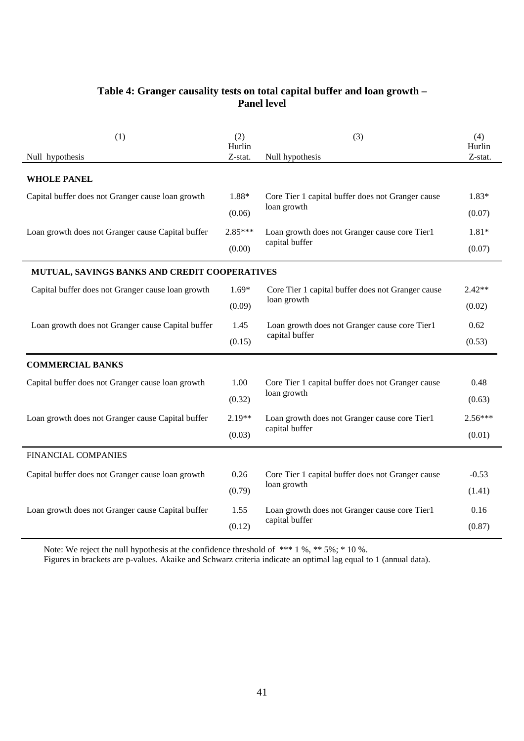## **Table 4: Granger causality tests on total capital buffer and loan growth – Panel level**

| (1)                                               | (2)<br>Hurlin | (3)                                               | (4)<br>Hurlin |
|---------------------------------------------------|---------------|---------------------------------------------------|---------------|
| Null hypothesis                                   | Z-stat.       | Null hypothesis                                   | Z-stat.       |
| <b>WHOLE PANEL</b>                                |               |                                                   |               |
| Capital buffer does not Granger cause loan growth | 1.88*         | Core Tier 1 capital buffer does not Granger cause | $1.83*$       |
|                                                   | (0.06)        | loan growth                                       | (0.07)        |
| Loan growth does not Granger cause Capital buffer | $2.85***$     | Loan growth does not Granger cause core Tier1     | $1.81*$       |
|                                                   | (0.00)        | capital buffer                                    | (0.07)        |
| MUTUAL, SAVINGS BANKS AND CREDIT COOPERATIVES     |               |                                                   |               |
| Capital buffer does not Granger cause loan growth | $1.69*$       | Core Tier 1 capital buffer does not Granger cause | $2.42**$      |
|                                                   | (0.09)        | loan growth                                       | (0.02)        |
| Loan growth does not Granger cause Capital buffer | 1.45          | Loan growth does not Granger cause core Tier1     | 0.62          |
|                                                   | (0.15)        | capital buffer                                    | (0.53)        |
| <b>COMMERCIAL BANKS</b>                           |               |                                                   |               |
| Capital buffer does not Granger cause loan growth | 1.00          | Core Tier 1 capital buffer does not Granger cause | 0.48          |
|                                                   | (0.32)        | loan growth                                       | (0.63)        |
| Loan growth does not Granger cause Capital buffer | $2.19**$      | Loan growth does not Granger cause core Tier1     | $2.56***$     |
|                                                   | (0.03)        | capital buffer                                    | (0.01)        |
| <b>FINANCIAL COMPANIES</b>                        |               |                                                   |               |
| Capital buffer does not Granger cause loan growth | 0.26          | Core Tier 1 capital buffer does not Granger cause | $-0.53$       |
|                                                   | (0.79)        | loan growth                                       | (1.41)        |
| Loan growth does not Granger cause Capital buffer | 1.55          | Loan growth does not Granger cause core Tier1     | 0.16          |
|                                                   | (0.12)        | capital buffer                                    | (0.87)        |

Note: We reject the null hypothesis at the confidence threshold of  $***1\%$ ,  $**5\%$ ;  $*10\%$ .

Figures in brackets are p-values. Akaike and Schwarz criteria indicate an optimal lag equal to 1 (annual data).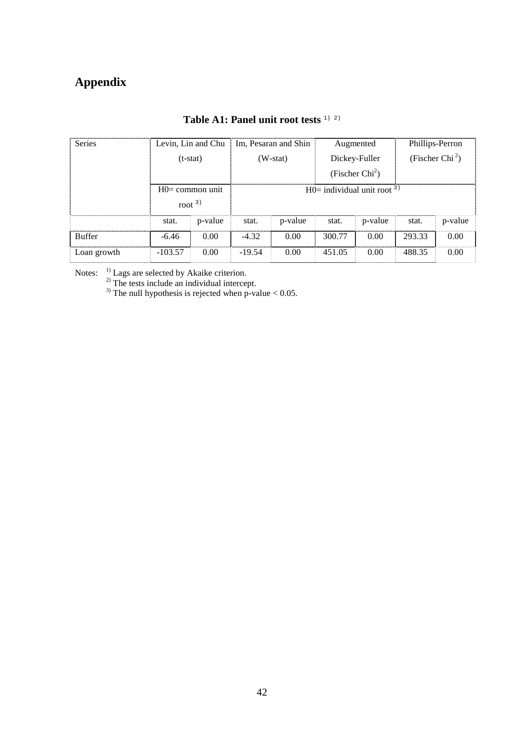# **Appendix**

| <b>Series</b> | Levin, Lin and Chu |         | Im, Pesaran and Shin             |         | Augmented         |         | Phillips-Perron             |         |  |
|---------------|--------------------|---------|----------------------------------|---------|-------------------|---------|-----------------------------|---------|--|
|               | $(t-stat)$         |         | $(W-stat)$                       |         | Dickey-Fuller     |         | (Fischer Chi <sup>2</sup> ) |         |  |
|               |                    |         |                                  |         | (Fischer $Chi2$ ) |         |                             |         |  |
|               | $HO = common$ unit |         | $H0=$ individual unit root $3$ ) |         |                   |         |                             |         |  |
|               | root $3)$          |         |                                  |         |                   |         |                             |         |  |
|               | stat.              | p-value | stat.                            | p-value | stat.             | p-value | stat.                       | p-value |  |
| <b>Buffer</b> | $-6.46$            | 0.00    | $-432$                           | 0.00    | 300.77            | 0.00    | 293.33                      | 0.00    |  |
| Loan growth   | $-103.57$          | 0.00    | $-19.54$                         | 0.00    | 451.05            | 0.00    | 488.35                      | 0.00    |  |

**Table A1: Panel unit root tests** 1) 2)

Notes:  $1)$  Lags are selected by Akaike criterion.

 $^{2)}$  The tests include an individual intercept.

<sup>3)</sup> The null hypothesis is rejected when p-value  $< 0.05$ .